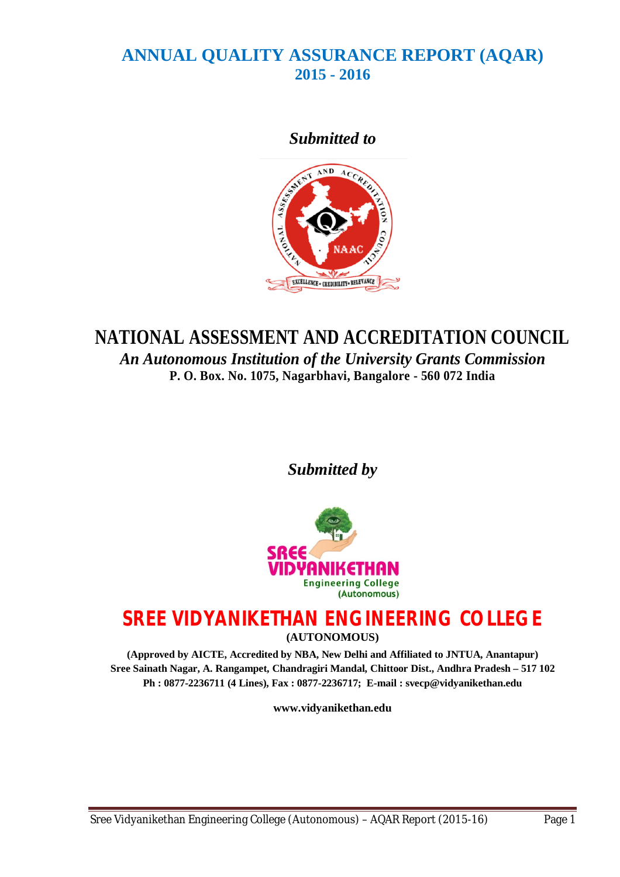# **ANNUAL QUALITY ASSURANCE REPORT (AQAR) 2015 - 2016**

# *Submitted to*



# **NATIONAL ASSESSMENT AND ACCREDITATION COUNCIL**

*An Autonomous Institution of the University Grants Commission* **P. O. Box. No. 1075, Nagarbhavi, Bangalore - 560 072 India**

*Submitted by*



# **SREE VIDYANIKETHAN ENGINEERING COLLEGE**

**(AUTONOMOUS)**

**(Approved by AICTE, Accredited by NBA, New Delhi and Affiliated to JNTUA, Anantapur) Sree Sainath Nagar, A. Rangampet, Chandragiri Mandal, Chittoor Dist., Andhra Pradesh – 517 102 Ph : 0877-2236711 (4 Lines), Fax : 0877-2236717; E-mail : svecp@vidyanikethan.edu**

**www.vidyanikethan.edu**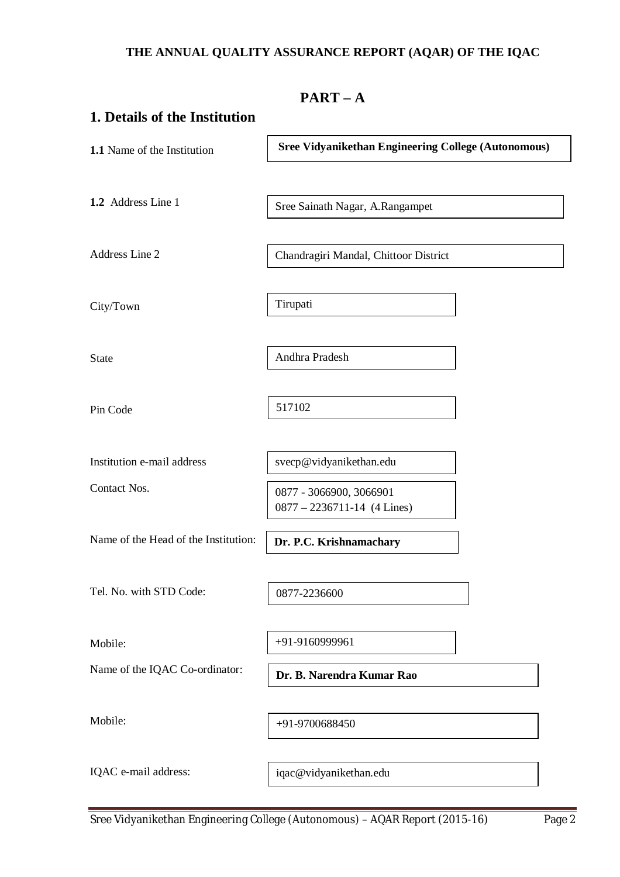# **THE ANNUAL QUALITY ASSURANCE REPORT (AQAR) OF THE IQAC**

| $PART - A$                           |                                                            |  |  |  |  |  |
|--------------------------------------|------------------------------------------------------------|--|--|--|--|--|
| 1. Details of the Institution        |                                                            |  |  |  |  |  |
| 1.1 Name of the Institution          | <b>Sree Vidyanikethan Engineering College (Autonomous)</b> |  |  |  |  |  |
|                                      |                                                            |  |  |  |  |  |
| 1.2 Address Line 1                   | Sree Sainath Nagar, A.Rangampet                            |  |  |  |  |  |
|                                      |                                                            |  |  |  |  |  |
| Address Line 2                       | Chandragiri Mandal, Chittoor District                      |  |  |  |  |  |
|                                      |                                                            |  |  |  |  |  |
| City/Town                            | Tirupati                                                   |  |  |  |  |  |
| <b>State</b>                         | Andhra Pradesh                                             |  |  |  |  |  |
|                                      |                                                            |  |  |  |  |  |
| Pin Code                             | 517102                                                     |  |  |  |  |  |
|                                      |                                                            |  |  |  |  |  |
| Institution e-mail address           | svecp@vidyanikethan.edu                                    |  |  |  |  |  |
| Contact Nos.                         | 0877 - 3066900, 3066901                                    |  |  |  |  |  |
|                                      | $0877 - 2236711 - 14$ (4 Lines)                            |  |  |  |  |  |
| Name of the Head of the Institution: | Dr. P.C. Krishnamachary                                    |  |  |  |  |  |
|                                      |                                                            |  |  |  |  |  |
| Tel. No. with STD Code:              | 0877-2236600                                               |  |  |  |  |  |
| Mobile:                              | +91-9160999961                                             |  |  |  |  |  |
| Name of the IQAC Co-ordinator:       |                                                            |  |  |  |  |  |
|                                      | Dr. B. Narendra Kumar Rao                                  |  |  |  |  |  |
| Mobile:                              | +91-9700688450                                             |  |  |  |  |  |
|                                      |                                                            |  |  |  |  |  |
| IQAC e-mail address:                 | iqac@vidyanikethan.edu                                     |  |  |  |  |  |
|                                      |                                                            |  |  |  |  |  |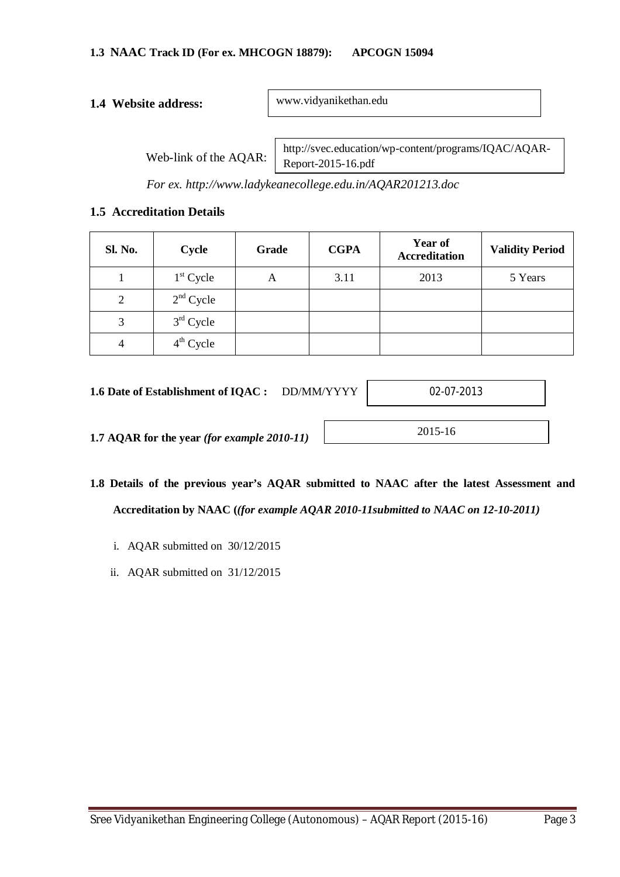#### **1.4 Website address:**

www.vidyanikethan.edu

Web-link of the AQAR:

http://svec.education/wp-content/programs/IQAC/AQAR-Report-2015-16.pdf

*For ex. http://www.ladykeanecollege.edu.in/AQAR201213.doc*

#### **1.5 Accreditation Details**

| <b>Sl. No.</b> | <b>Cycle</b> | Grade | <b>CGPA</b> | <b>Year of</b><br><b>Accreditation</b> | <b>Validity Period</b> |
|----------------|--------------|-------|-------------|----------------------------------------|------------------------|
|                | $1st$ Cycle  | А     | 3.11        | 2013                                   | 5 Years                |
| 2              | $2nd$ Cycle  |       |             |                                        |                        |
| 3              | $3rd$ Cycle  |       |             |                                        |                        |
| 4              | $4th$ Cycle  |       |             |                                        |                        |

**1.6 Date of Establishment of IQAC :** DD/MM/YYYY

02-07-2013

**1.7 AQAR for the year** *(for example 2010-11)*

2015-16

- **1.8 Details of the previous year's AQAR submitted to NAAC after the latest Assessment and Accreditation by NAAC (***(for example AQAR 2010-11submitted to NAAC on 12-10-2011)*
	- i. AQAR submitted on 30/12/2015
	- ii. AQAR submitted on 31/12/2015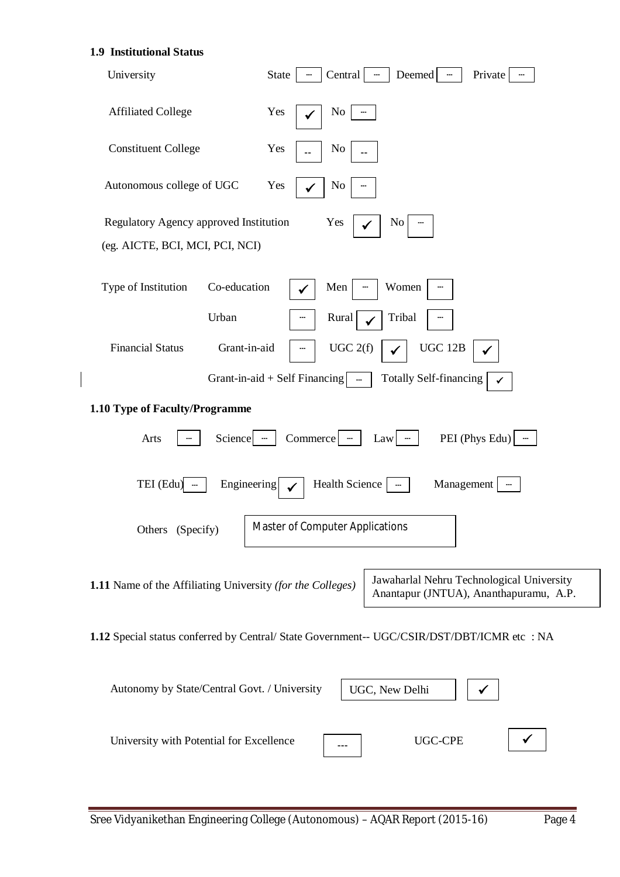# **1.9 Institutional Status**

 $\overline{\phantom{a}}$ 

| University                                                                | Central<br>Deemed<br><b>State</b><br>Private<br>$\overline{\phantom{a}}$                                                                    |
|---------------------------------------------------------------------------|---------------------------------------------------------------------------------------------------------------------------------------------|
| <b>Affiliated College</b>                                                 | Yes<br>No                                                                                                                                   |
| <b>Constituent College</b>                                                | Yes<br>No                                                                                                                                   |
| Autonomous college of UGC                                                 | Yes<br>N <sub>0</sub>                                                                                                                       |
| Regulatory Agency approved Institution<br>(eg. AICTE, BCI, MCI, PCI, NCI) | Yes<br>No                                                                                                                                   |
| Type of Institution<br>Co-education                                       | Men<br>Women                                                                                                                                |
| Urban<br><b>Financial Status</b><br>Grant-in-aid                          | Tribal<br>Rural<br>UGC 2(f)<br><b>UGC 12B</b><br>Grant-in-aid + Self Financing $\boxed{\phantom{a} \dots}$<br><b>Totally Self-financing</b> |
| 1.10 Type of Faculty/Programme                                            |                                                                                                                                             |
| Arts<br>Science $-$                                                       | PEI (Phys Edu)<br>Commerce —<br>Law                                                                                                         |
| TEI (Edu)<br>Engineering                                                  | Health Science<br>Management                                                                                                                |
| Others (Specify)                                                          | Master of Computer Applications                                                                                                             |
| 1.11 Name of the Affiliating University (for the Colleges)                | Jawaharlal Nehru Technological University<br>Anantapur (JNTUA), Ananthapuramu, A.P.                                                         |
|                                                                           | 1.12 Special status conferred by Central/ State Government-- UGC/CSIR/DST/DBT/ICMR etc : NA                                                 |
| Autonomy by State/Central Govt. / University                              | UGC, New Delhi                                                                                                                              |
| University with Potential for Excellence                                  | <b>UGC-CPE</b>                                                                                                                              |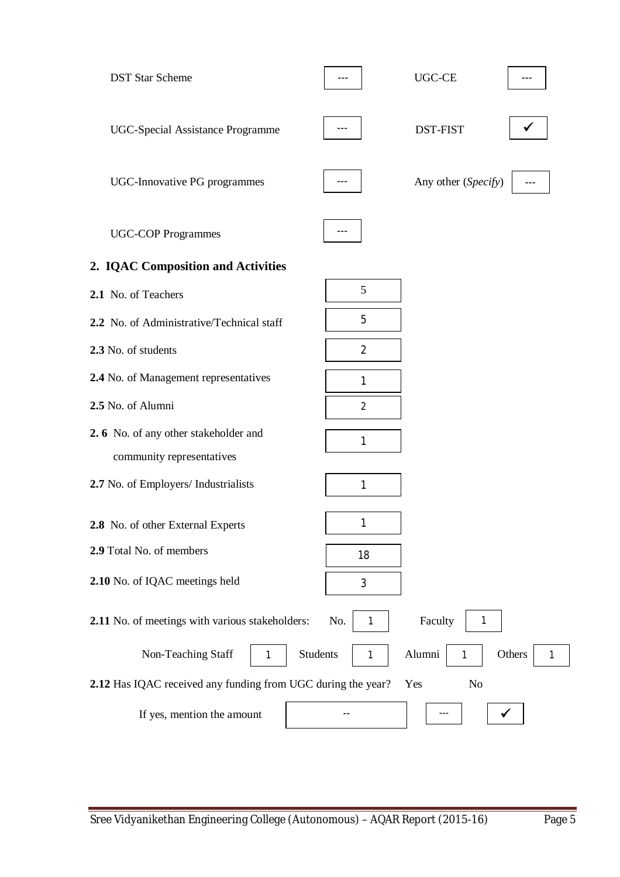| <b>DST Star Scheme</b>                                            |                      | $UGC-CE$                                         |
|-------------------------------------------------------------------|----------------------|--------------------------------------------------|
| <b>UGC-Special Assistance Programme</b>                           |                      | <b>DST-FIST</b>                                  |
| UGC-Innovative PG programmes                                      |                      | Any other (Specify)                              |
| <b>UGC-COP Programmes</b>                                         | $---$                |                                                  |
| 2. IQAC Composition and Activities                                |                      |                                                  |
| 2.1 No. of Teachers                                               | 5                    |                                                  |
| 2.2 No. of Administrative/Technical staff                         | 5                    |                                                  |
| 2.3 No. of students                                               | $\overline{2}$       |                                                  |
| 2.4 No. of Management representatives                             | 1                    |                                                  |
| 2.5 No. of Alumni                                                 | $\overline{2}$       |                                                  |
| 2.6 No. of any other stakeholder and<br>community representatives | 1                    |                                                  |
| 2.7 No. of Employers/ Industrialists                              | 1                    |                                                  |
| 2.8 No. of other External Experts                                 | 1                    |                                                  |
| 2.9 Total No. of members                                          | 18                   |                                                  |
| 2.10 No. of IQAC meetings held                                    | 3                    |                                                  |
| 2.11 No. of meetings with various stakeholders:                   | No.<br>1             | Faculty<br>1                                     |
| Non-Teaching Staff<br>1                                           | <b>Students</b><br>1 | Alumni<br>Others<br>$\mathbf{1}$<br>$\mathbf{1}$ |
| 2.12 Has IQAC received any funding from UGC during the year?      |                      | Yes<br>No                                        |
| If yes, mention the amount                                        |                      |                                                  |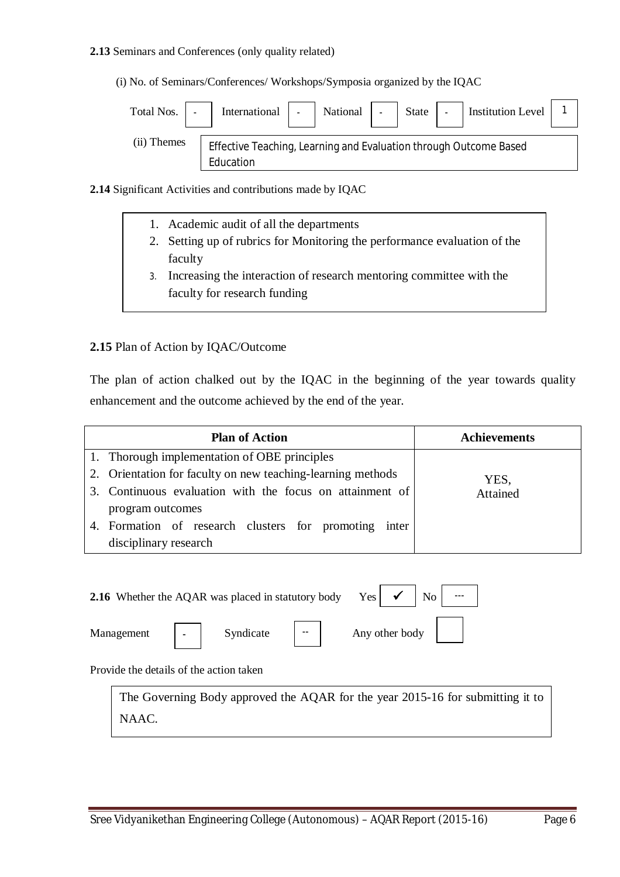#### **2.13** Seminars and Conferences (only quality related)

(i) No. of Seminars/Conferences/ Workshops/Symposia organized by the IQAC



- **2.14** Significant Activities and contributions made by IQAC
	- 1. Academic audit of all the departments
	- 2. Setting up of rubrics for Monitoring the performance evaluation of the faculty
	- 3. Increasing the interaction of research mentoring committee with the faculty for research funding

#### **2.15** Plan of Action by IQAC/Outcome

The plan of action chalked out by the IQAC in the beginning of the year towards quality enhancement and the outcome achieved by the end of the year.

| <b>Plan of Action</b>                                       | <b>Achievements</b> |
|-------------------------------------------------------------|---------------------|
| 1. Thorough implementation of OBE principles                |                     |
| 2. Orientation for faculty on new teaching-learning methods | YES,                |
| 3. Continuous evaluation with the focus on attainment of    | Attained            |
| program outcomes                                            |                     |
| 4. Formation of research clusters for promoting inter       |                     |
| disciplinary research                                       |                     |

**2.16** Whether the AQAR was placed in statutory body Yes

Management | Syndicate | Management | Syndicate | Management | Syndicate | Management | Syndicate | Management | Syndicate | Management | Syndicate | Management | Syndicate | Management | Syndicate | Management | Syndicate

 $N<sub>0</sub>$ 

Provide the details of the action taken

-

The Governing Body approved the AQAR for the year 2015-16 for submitting it to NAAC.

--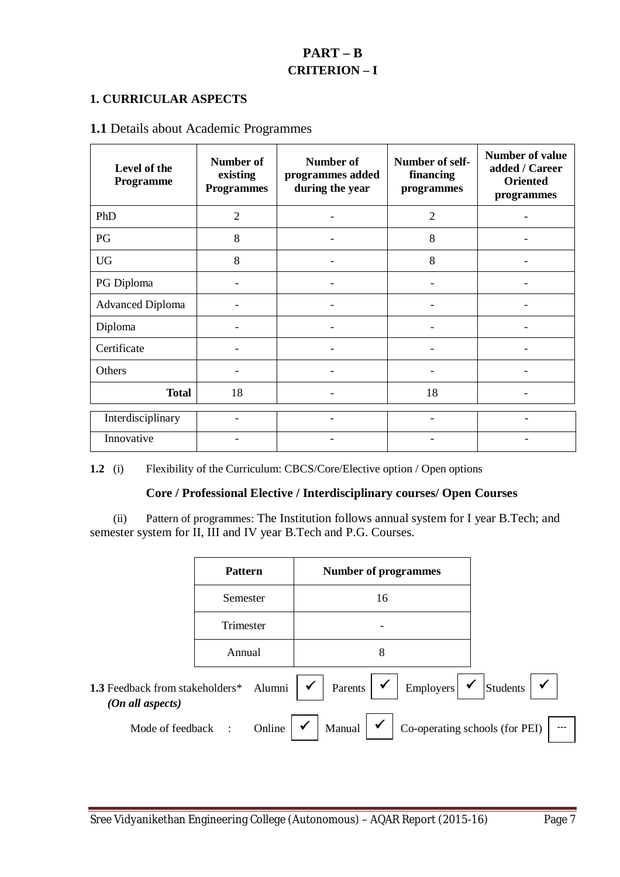# **PART – B CRITERION – I**

#### **1. CURRICULAR ASPECTS**

# **1.1** Details about Academic Programmes

| Level of the<br>Programme | Number of<br>existing<br><b>Programmes</b> | <b>Number of</b><br>programmes added<br>during the year | Number of self-<br>financing<br>programmes | <b>Number of value</b><br>added / Career<br><b>Oriented</b><br>programmes |
|---------------------------|--------------------------------------------|---------------------------------------------------------|--------------------------------------------|---------------------------------------------------------------------------|
| PhD                       | $\overline{2}$                             |                                                         | $\overline{2}$                             |                                                                           |
| PG                        | 8                                          |                                                         | 8                                          |                                                                           |
| <b>UG</b>                 | 8                                          |                                                         | 8                                          |                                                                           |
| PG Diploma                |                                            |                                                         |                                            |                                                                           |
| <b>Advanced Diploma</b>   |                                            |                                                         |                                            |                                                                           |
| Diploma                   |                                            |                                                         |                                            |                                                                           |
| Certificate               |                                            |                                                         |                                            |                                                                           |
| Others                    |                                            |                                                         |                                            |                                                                           |
| <b>Total</b>              | 18<br>18                                   |                                                         |                                            |                                                                           |
| Interdisciplinary         |                                            |                                                         |                                            |                                                                           |
| Innovative                |                                            |                                                         |                                            |                                                                           |

**1.2** (i) Flexibility of the Curriculum: CBCS/Core/Elective option / Open options

#### **Core / Professional Elective / Interdisciplinary courses/ Open Courses**

 (ii) Pattern of programmes: The Institution follows annual system for I year B.Tech; and semester system for II, III and IV year B.Tech and P.G. Courses.

|                                                            | <b>Pattern</b>      | <b>Number of programmes</b>                                                |                          |
|------------------------------------------------------------|---------------------|----------------------------------------------------------------------------|--------------------------|
|                                                            | Semester            | 16                                                                         |                          |
|                                                            | Trimester           |                                                                            |                          |
|                                                            | Annual              | 8                                                                          |                          |
| 1.3 Feedback from stakeholders* Alumni<br>(On all aspects) |                     | Parents $\vert \checkmark$<br>Employers $\vert \checkmark$<br>$\checkmark$ | $\checkmark$<br>Students |
| Mode of feedback                                           | Online<br>$\cdot$ : | $\checkmark$<br>$\checkmark$<br>Co-operating schools (for PEI)<br>Manual   |                          |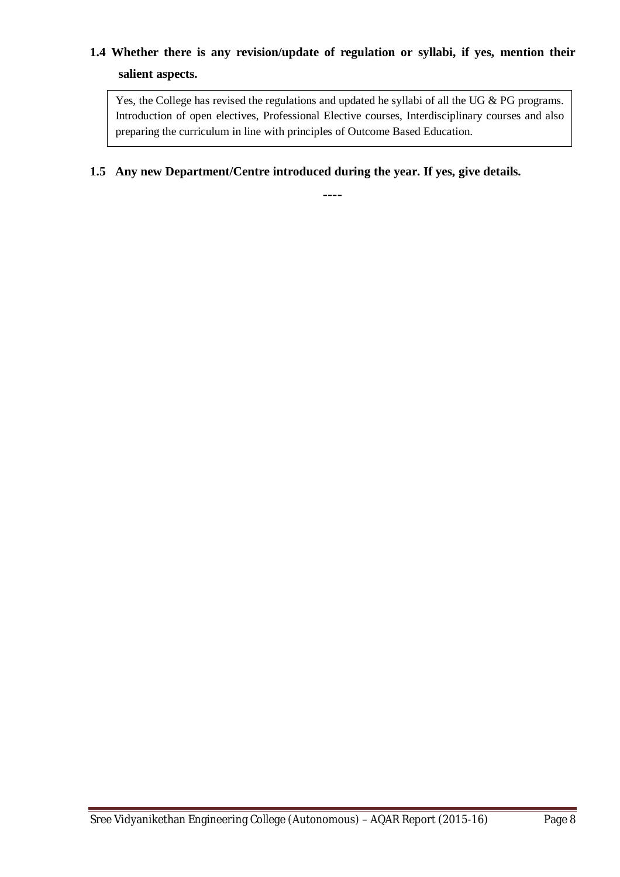# **1.4 Whether there is any revision/update of regulation or syllabi, if yes, mention their salient aspects.**

Yes, the College has revised the regulations and updated he syllabi of all the UG & PG programs. Introduction of open electives, Professional Elective courses, Interdisciplinary courses and also preparing the curriculum in line with principles of Outcome Based Education.

# **1.5 Any new Department/Centre introduced during the year. If yes, give details.**

**----**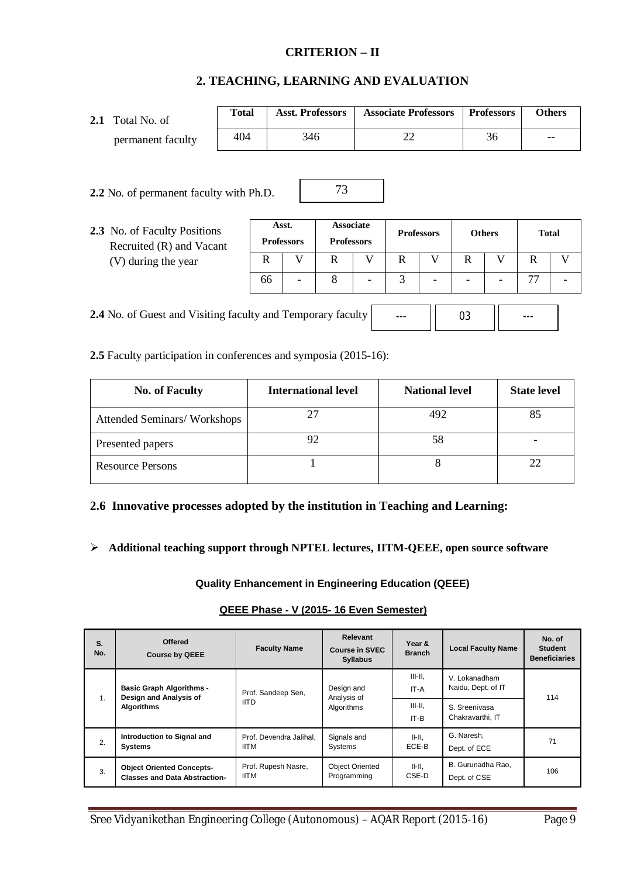#### **CRITERION – II**

#### **2. TEACHING, LEARNING AND EVALUATION**

| Total No. of<br>2.1                                         | <b>Total</b> |                            | <b>Asst. Professors</b>               |   | <b>Associate Professors</b> |                   |               | <b>Professors</b> |              | <b>Others</b> |
|-------------------------------------------------------------|--------------|----------------------------|---------------------------------------|---|-----------------------------|-------------------|---------------|-------------------|--------------|---------------|
| permanent faculty                                           | 404          |                            | 346                                   |   | 22                          |                   |               | 36                |              |               |
| 2.2 No. of permanent faculty with Ph.D.                     |              |                            | 73                                    |   |                             |                   |               |                   |              |               |
| 2.3 No. of Faculty Positions<br>Recruited (R) and Vacant    |              | Asst.<br><b>Professors</b> | <b>Associate</b><br><b>Professors</b> |   |                             | <b>Professors</b> | <b>Others</b> |                   | <b>Total</b> |               |
| (V) during the year                                         | R            |                            | V<br>$\mathbf R$                      | V | R                           | V                 | $\mathbf R$   | V                 | $\mathbb{R}$ | V             |
|                                                             | 66           |                            | 8                                     |   | 3                           |                   |               |                   | 77           |               |
| 2.4 No. of Guest and Visiting faculty and Temporary faculty |              |                            |                                       |   |                             |                   | 03            |                   |              |               |

**2.5** Faculty participation in conferences and symposia (2015-16):

 $\blacksquare$ 

| <b>No. of Faculty</b>       | <b>International level</b> | <b>National level</b> | <b>State level</b> |
|-----------------------------|----------------------------|-----------------------|--------------------|
| Attended Seminars/Workshops |                            | 492                   | 85                 |
| Presented papers            | 92                         | 58                    |                    |
| <b>Resource Persons</b>     |                            |                       | 22                 |

#### **2.6 Innovative processes adopted by the institution in Teaching and Learning:**

**Additional teaching support through NPTEL lectures, IITM-QEEE, open source software**

**Quality Enhancement in Engineering Education (QEEE)**

#### **QEEE Phase - V (2015- 16 Even Semester)**

| S.<br>No.               | <b>Offered</b><br><b>Course by QEEE</b>                                  | <b>Faculty Name</b>                             | <b>Relevant</b><br><b>Course in SVEC</b><br><b>Syllabus</b> | Year &<br><b>Branch</b>           | <b>Local Faculty Name</b>           | No. of<br><b>Student</b><br><b>Beneficiaries</b> |
|-------------------------|--------------------------------------------------------------------------|-------------------------------------------------|-------------------------------------------------------------|-----------------------------------|-------------------------------------|--------------------------------------------------|
|                         | <b>Basic Graph Algorithms -</b><br>Design and Analysis of                | Design and<br>Prof. Sandeep Sen,<br>Analysis of |                                                             | $III - II.$<br>IT-A               | V. Lokanadham<br>Naidu, Dept. of IT | 114                                              |
| 1.<br><b>Algorithms</b> | <b>IITD</b>                                                              | Algorithms                                      | $III-II.$<br>IT-B                                           | S. Sreenivasa<br>Chakravarthi. IT |                                     |                                                  |
| 2.                      | Introduction to Signal and<br><b>Systems</b>                             | Prof. Devendra Jalihal.<br><b>IITM</b>          | Signals and<br>Systems                                      | II-II.<br>ECE-B                   | G. Naresh.<br>Dept. of ECE          | 71                                               |
| 3.                      | <b>Object Oriented Concepts-</b><br><b>Classes and Data Abstraction-</b> | Prof. Rupesh Nasre,<br><b>IITM</b>              | <b>Object Oriented</b><br>Programming                       | II-II.<br>CSE-D                   | B. Gurunadha Rao,<br>Dept. of CSE   | 106                                              |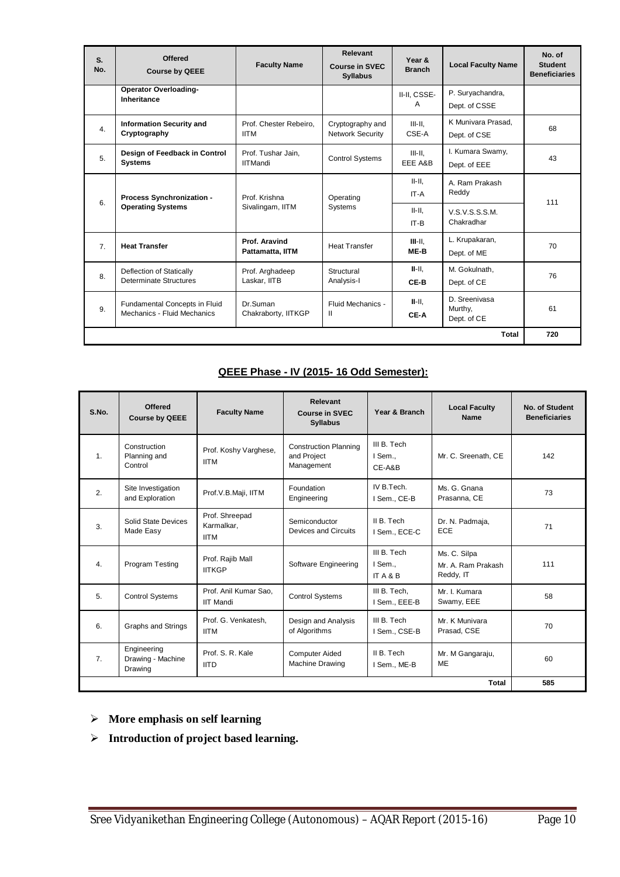| S.<br>No.        | <b>Offered</b><br><b>Course by QEEE</b>                      | <b>Faculty Name</b>                   | Relevant<br><b>Course in SVEC</b><br><b>Syllabus</b> | Year &<br><b>Branch</b> | <b>Local Faculty Name</b>               | No. of<br><b>Student</b><br><b>Beneficiaries</b> |
|------------------|--------------------------------------------------------------|---------------------------------------|------------------------------------------------------|-------------------------|-----------------------------------------|--------------------------------------------------|
|                  | <b>Operator Overloading-</b><br>Inheritance                  |                                       |                                                      | II-II, CSSE-<br>A       | P. Suryachandra,<br>Dept. of CSSE       |                                                  |
| 4.               | <b>Information Security and</b><br>Cryptography              | Prof. Chester Rebeiro.<br><b>IITM</b> | Cryptography and<br>Network Security                 | $III-H.$<br>CSE-A       | K Munivara Prasad.<br>Dept. of CSE      | 68                                               |
| 5.               | Design of Feedback in Control<br><b>Systems</b>              | Prof. Tushar Jain,<br><b>IITMandi</b> | <b>Control Systems</b>                               | $III - II$ .<br>EEE A&B | I. Kumara Swamy,<br>Dept. of EEE        | 43                                               |
| 6.               | <b>Process Synchronization -</b>                             | Prof. Krishna                         | Operating                                            | $II-II.$<br>IT-A        | A. Ram Prakash<br>Reddy                 | 111                                              |
|                  | <b>Operating Systems</b>                                     | Sivalingam, IITM                      | Systems<br>$II - II$ .<br>IT-B                       |                         | V.S.V.S.S.S.M.<br>Chakradhar            |                                                  |
| $\overline{7}$ . | <b>Heat Transfer</b>                                         | Prof. Aravind<br>Pattamatta, IITM     | <b>Heat Transfer</b>                                 | $III-H.$<br>ME-B        | L. Krupakaran,<br>Dept. of ME           | 70                                               |
| 8.               | Deflection of Statically<br><b>Determinate Structures</b>    | Prof. Arghadeep<br>Laskar, IITB       | Structural<br>Analysis-I                             | $II-H.$<br>CE-B         | M. Gokulnath.<br>Dept. of CE            | 76                                               |
| 9.               | Fundamental Concepts in Fluid<br>Mechanics - Fluid Mechanics | Dr.Suman<br>Chakraborty, IITKGP       | Fluid Mechanics -<br>Ш                               | $II-II.$<br>CE-A        | D. Sreenivasa<br>Murthy,<br>Dept. of CE | 61                                               |
|                  |                                                              |                                       |                                                      |                         | Total                                   | 720                                              |

# **QEEE Phase - IV (2015- 16 Odd Semester):**

| S.No. | <b>Offered</b><br><b>Course by QEEE</b>     | <b>Faculty Name</b>                         | Relevant<br><b>Course in SVEC</b><br><b>Syllabus</b>      | Year & Branch                            | <b>Local Faculty</b><br>Name                    | No. of Student<br><b>Beneficiaries</b> |
|-------|---------------------------------------------|---------------------------------------------|-----------------------------------------------------------|------------------------------------------|-------------------------------------------------|----------------------------------------|
| 1.    | Construction<br>Planning and<br>Control     | Prof. Koshy Varghese,<br><b>IITM</b>        | <b>Construction Planning</b><br>and Project<br>Management | III B. Tech<br>I Sem<br>CE-A&B           | Mr. C. Sreenath, CE                             | 142                                    |
| 2.    | Site Investigation<br>and Exploration       | Prof.V.B.Maji, IITM                         | Foundation<br>Engineering                                 | IV B.Tech.<br>I Sem., CE-B               | Ms. G. Gnana<br>Prasanna, CE                    | 73                                     |
| 3.    | Solid State Devices<br>Made Easy            | Prof. Shreepad<br>Karmalkar.<br><b>IITM</b> | Semiconductor<br>Devices and Circuits                     | II B. Tech<br>I Sem., ECE-C              | Dr. N. Padmaja,<br>ECE                          | 71                                     |
| 4.    | Program Testing                             | Prof. Rajib Mall<br><b>IITKGP</b>           | Software Engineering                                      | III B. Tech<br>I Sem<br><b>ITA&amp;B</b> | Ms. C. Silpa<br>Mr. A. Ram Prakash<br>Reddy, IT | 111                                    |
| 5.    | <b>Control Systems</b>                      | Prof. Anil Kumar Sao.<br><b>IIT Mandi</b>   | <b>Control Systems</b>                                    | III B. Tech.<br>I Sem., EEE-B            | Mr. I. Kumara<br>Swamy, EEE                     | 58                                     |
| 6.    | Graphs and Strings                          | Prof. G. Venkatesh,<br><b>IITM</b>          | Design and Analysis<br>of Algorithms                      | III B. Tech<br>I Sem., CSE-B             | Mr. K Munivara<br>Prasad, CSE                   | 70                                     |
| 7.    | Engineering<br>Drawing - Machine<br>Drawing | Prof. S. R. Kale<br><b>IITD</b>             | <b>Computer Aided</b><br>Machine Drawing                  | II B. Tech<br>I Sem., ME-B               | Mr. M Gangaraju,<br><b>ME</b>                   | 60                                     |
|       |                                             |                                             |                                                           |                                          | Total                                           | 585                                    |

- **More emphasis on self learning**
- **Introduction of project based learning.**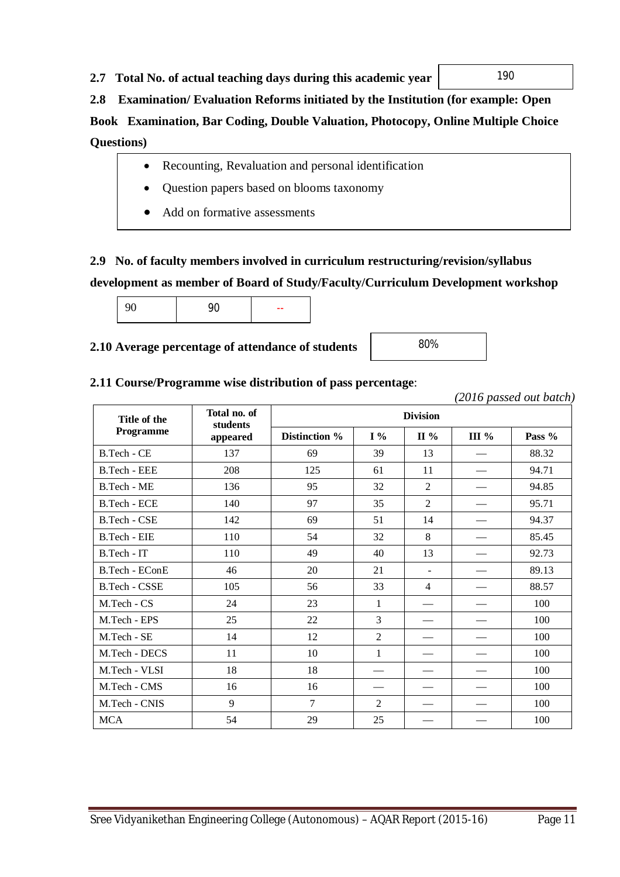# **2.7 Total No. of actual teaching days during this academic year**

# **2.8 Examination/ Evaluation Reforms initiated by the Institution (for example: Open**

**Book Examination, Bar Coding, Double Valuation, Photocopy, Online Multiple Choice Questions)**

- Recounting, Revaluation and personal identification
- Question papers based on blooms taxonomy
- Add on formative assessments

# **2.9 No. of faculty members involved in curriculum restructuring/revision/syllabus**

# **development as member of Board of Study/Faculty/Curriculum Development workshop**

|  |  | -- |
|--|--|----|
|--|--|----|

# **2.10 Average percentage of attendance of students**

# **2.11 Course/Programme wise distribution of pass percentage**:

|                       |                          |                |                |                          |         | zoro passea oui baien |
|-----------------------|--------------------------|----------------|----------------|--------------------------|---------|-----------------------|
| Title of the          | Total no. of<br>students |                |                | <b>Division</b>          |         |                       |
| Programme             | appeared                 | Distinction %  | $I\%$          | $\Pi\%$                  | III $%$ | Pass %                |
| B.Tech - CE           | 137                      | 69             | 39             | 13                       |         | 88.32                 |
| B.Tech - EEE          | 208                      | 125            | 61             | 11                       |         | 94.71                 |
| B.Tech - ME           | 136                      | 95             | 32             | $\overline{2}$           |         | 94.85                 |
| <b>B.Tech - ECE</b>   | 140                      | 97             | 35             | $\overline{2}$           |         | 95.71                 |
| B.Tech - CSE          | 142                      | 69             | 51             | 14                       |         | 94.37                 |
| B.Tech - EIE          | 110                      | 54             | 32             | 8                        |         | 85.45                 |
| B.Tech - IT           | 110                      | 49             | 40             | 13                       |         | 92.73                 |
| <b>B.Tech - EConE</b> | 46                       | 20             | 21             | $\overline{\phantom{a}}$ |         | 89.13                 |
| B.Tech - CSSE         | 105                      | 56             | 33             | $\overline{4}$           |         | 88.57                 |
| M.Tech - CS           | 24                       | 23             | 1              |                          |         | 100                   |
| M.Tech - EPS          | 25                       | 22             | 3              |                          |         | 100                   |
| M.Tech - SE           | 14                       | 12             | $\overline{2}$ |                          |         | 100                   |
| M.Tech - DECS         | 11                       | 10             | $\mathbf{1}$   |                          |         | 100                   |
| M.Tech - VLSI         | 18                       | 18             |                |                          |         | 100                   |
| M.Tech - CMS          | 16                       | 16             |                |                          |         | 100                   |
| M.Tech - CNIS         | 9                        | $\overline{7}$ | $\overline{2}$ |                          |         | 100                   |
| <b>MCA</b>            | 54                       | 29             | 25             |                          |         | 100                   |

 *(2016 passed out batch)*

80%

190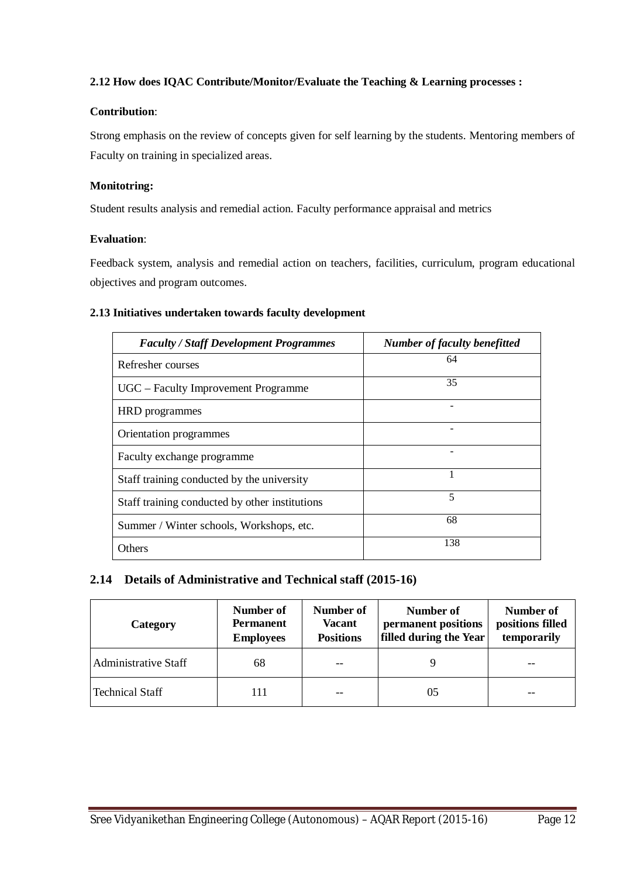#### **2.12 How does IQAC Contribute/Monitor/Evaluate the Teaching & Learning processes :**

#### **Contribution**:

Strong emphasis on the review of concepts given for self learning by the students. Mentoring members of Faculty on training in specialized areas.

#### **Monitotring:**

Student results analysis and remedial action. Faculty performance appraisal and metrics

#### **Evaluation**:

Feedback system, analysis and remedial action on teachers, facilities, curriculum, program educational objectives and program outcomes.

#### **2.13 Initiatives undertaken towards faculty development**

| <b>Faculty / Staff Development Programmes</b>  | <b>Number of faculty benefitted</b> |
|------------------------------------------------|-------------------------------------|
| Refresher courses                              | 64                                  |
| UGC - Faculty Improvement Programme            | 35                                  |
| HRD programmes                                 |                                     |
| Orientation programmes                         |                                     |
| Faculty exchange programme                     |                                     |
| Staff training conducted by the university     |                                     |
| Staff training conducted by other institutions | 5                                   |
| Summer / Winter schools, Workshops, etc.       | 68                                  |
| Others                                         | 138                                 |

# **2.14 Details of Administrative and Technical staff (2015-16)**

| Category                    | Number of<br><b>Permanent</b><br><b>Employees</b> | Number of<br><b>Vacant</b><br><b>Positions</b> | Number of<br>permanent positions<br>filled during the Year | Number of<br>positions filled<br>temporarily |
|-----------------------------|---------------------------------------------------|------------------------------------------------|------------------------------------------------------------|----------------------------------------------|
| <b>Administrative Staff</b> | 68                                                |                                                |                                                            |                                              |
| <b>Technical Staff</b>      | 111                                               | --                                             | 05                                                         |                                              |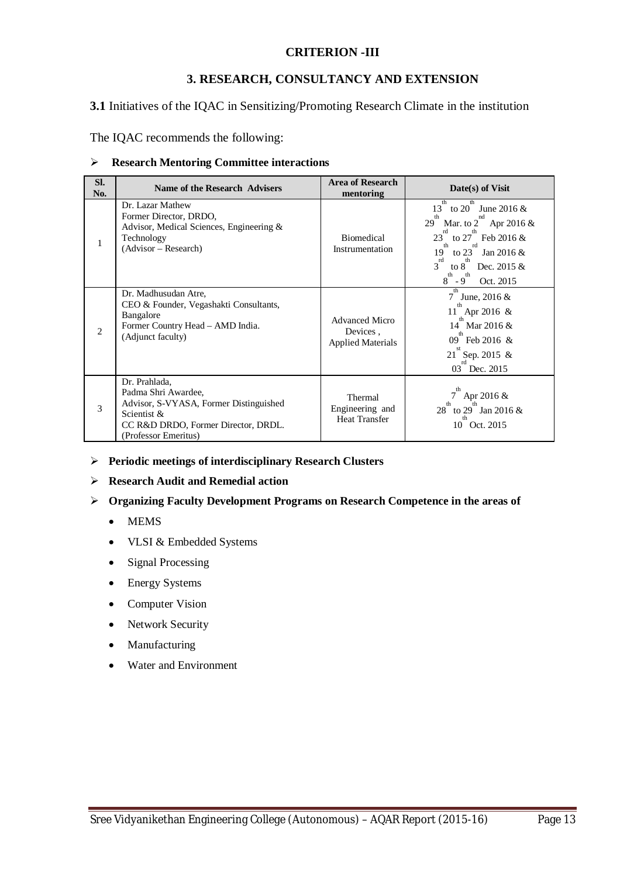#### **CRITERION -III**

#### **3. RESEARCH, CONSULTANCY AND EXTENSION**

**3.1** Initiatives of the IQAC in Sensitizing/Promoting Research Climate in the institution

The IQAC recommends the following:

#### **Research Mentoring Committee interactions**

| SI.<br>No.     | <b>Name of the Research Advisers</b>                                                                                                                         | <b>Area of Research</b><br>mentoring                          | Date(s) of Visit                                                                                                                                                                                                                                       |
|----------------|--------------------------------------------------------------------------------------------------------------------------------------------------------------|---------------------------------------------------------------|--------------------------------------------------------------------------------------------------------------------------------------------------------------------------------------------------------------------------------------------------------|
| 1              | Dr. Lazar Mathew<br>Former Director, DRDO,<br>Advisor, Medical Sciences, Engineering &<br>Technology<br>(Advisor – Research)                                 | Biomedical<br>Instrumentation                                 | th<br>to 20 June 2016 $\&$<br>13<br>th<br>29<br>Mar. to 2 Apr 2016 $\&$<br>rd<br>to $27$ Feb 2016 &<br>$23^{\degree}$<br>th<br>to $23$<br>19<br>Jan 2016 $&$<br>$3^{rd}$<br>to 8 Dec. 2015 &<br>th<br>th<br>$8^{\degree}$ - $9^{\degree}$<br>Oct. 2015 |
| $\overline{2}$ | Dr. Madhusudan Atre,<br>CEO & Founder, Vegashakti Consultants,<br>Bangalore<br>Former Country Head - AMD India.<br>(Adjunct faculty)                         | <b>Advanced Micro</b><br>Devices,<br><b>Applied Materials</b> | th<br>7<br>June, $2016 \&$<br>th<br>11 Apr 2016 &<br>14 Mar 2016 &<br>09 Feb 2016 &<br>21 Sep. 2015 &<br>03 Dec. 2015                                                                                                                                  |
| 3              | Dr. Prahlada,<br>Padma Shri Awardee,<br>Advisor, S-VYASA, Former Distinguished<br>Scientist &<br>CC R&D DRDO, Former Director, DRDL.<br>(Professor Emeritus) | Thermal<br>Engineering and<br><b>Heat Transfer</b>            | th<br>Apr 2016 &<br>th<br>28 to 29 Jan 2016 &<br>th<br>10<br>Oct. 2015                                                                                                                                                                                 |

- **Periodic meetings of interdisciplinary Research Clusters**
- **Research Audit and Remedial action**
- **Organizing Faculty Development Programs on Research Competence in the areas of** 
	- MEMS
	- VLSI & Embedded Systems
	- Signal Processing
	- Energy Systems
	- Computer Vision
	- Network Security
	- Manufacturing
	- Water and Environment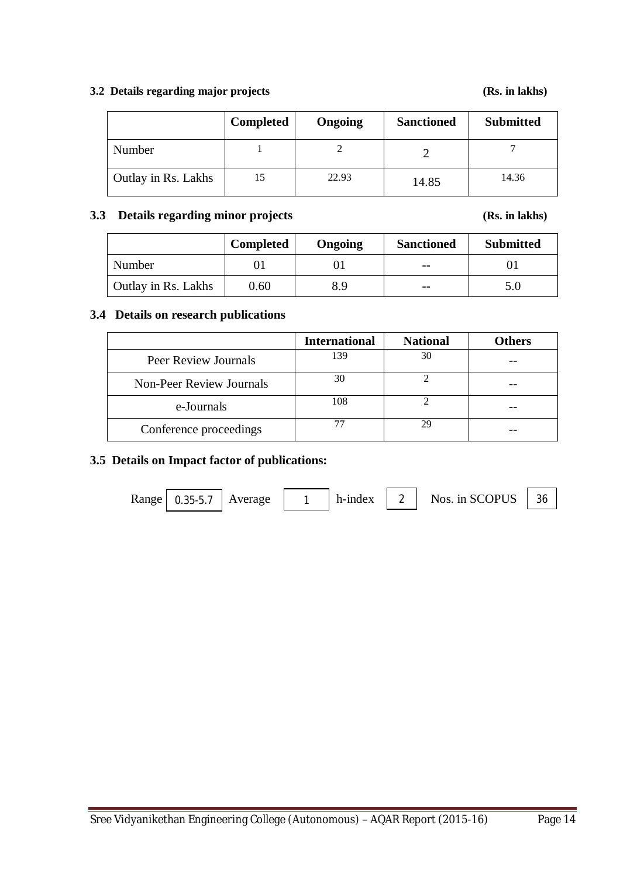#### **3.2 Details regarding major projects (Rs. in lakhs)**

|                     | <b>Completed</b> | Ongoing | <b>Sanctioned</b> | <b>Submitted</b> |
|---------------------|------------------|---------|-------------------|------------------|
| Number              |                  |         |                   |                  |
| Outlay in Rs. Lakhs |                  | 22.93   | 14.85             | 14.36            |

## **3.3 Details regarding minor projects (Rs. in lakhs)**

|                            | <b>Completed</b> | Ongoing | <b>Sanctioned</b> | <b>Submitted</b> |
|----------------------------|------------------|---------|-------------------|------------------|
| Number                     |                  |         | $- -$             |                  |
| <b>Outlay in Rs. Lakhs</b> | 0.60             | 8.9     | $ -$              |                  |

### **3.4 Details on research publications**

|                                 | <b>International</b> | <b>National</b> | <b>Others</b> |
|---------------------------------|----------------------|-----------------|---------------|
| Peer Review Journals            | 139                  | 30              |               |
| <b>Non-Peer Review Journals</b> | 30                   |                 |               |
| e-Journals                      | 108                  |                 |               |
| Conference proceedings          |                      |                 |               |

#### **3.5 Details on Impact factor of publications:**

Range 0.35-5.7 Average 1 h-index 2 Nos. in SCOPUS 36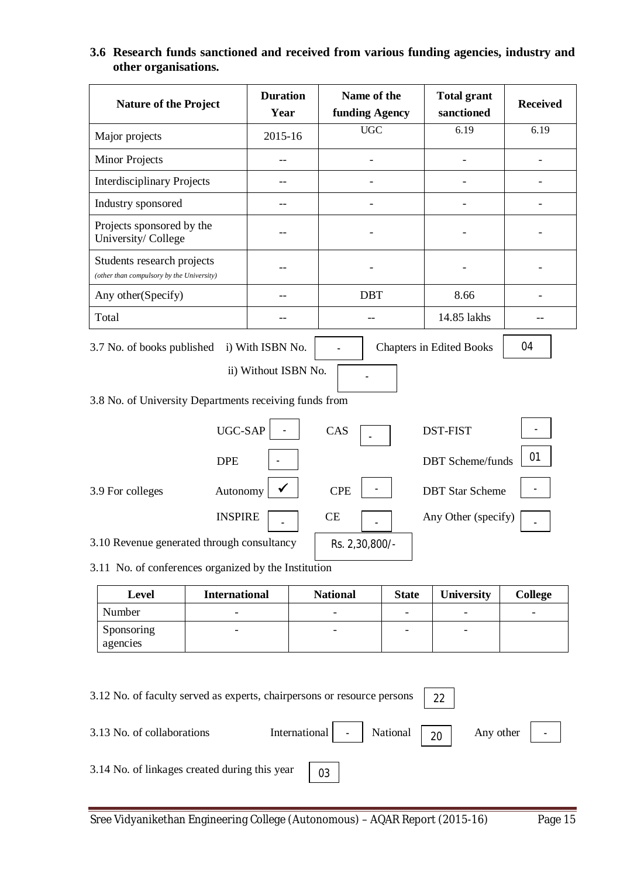# **3.6 Research funds sanctioned and received from various funding agencies, industry and other organisations.**

| <b>Nature of the Project</b>                                                                                                                                              |                      | <b>Duration</b><br>Year |                 | Name of the<br>funding Agency |                   | <b>Received</b> |
|---------------------------------------------------------------------------------------------------------------------------------------------------------------------------|----------------------|-------------------------|-----------------|-------------------------------|-------------------|-----------------|
| Major projects                                                                                                                                                            |                      | <b>UGC</b><br>2015-16   |                 |                               | 6.19              | 6.19            |
| <b>Minor Projects</b>                                                                                                                                                     |                      |                         |                 |                               |                   |                 |
| <b>Interdisciplinary Projects</b>                                                                                                                                         | $-$                  |                         |                 |                               |                   |                 |
| Industry sponsored                                                                                                                                                        | $-$                  |                         |                 |                               |                   |                 |
| Projects sponsored by the<br>University/College                                                                                                                           |                      |                         |                 |                               |                   |                 |
| Students research projects<br>(other than compulsory by the University)                                                                                                   |                      |                         |                 |                               |                   |                 |
| Any other(Specify)                                                                                                                                                        | --                   |                         | <b>DBT</b>      |                               | 8.66              |                 |
| Total                                                                                                                                                                     |                      |                         | --              |                               | 14.85 lakhs       |                 |
| 04<br>i) With ISBN No.<br><b>Chapters in Edited Books</b><br>3.7 No. of books published<br>ii) Without ISBN No.<br>3.8 No. of University Departments receiving funds from |                      |                         |                 |                               |                   |                 |
| UGC-SAP<br>CAS<br><b>DST-FIST</b><br>01<br><b>DBT</b> Scheme/funds<br><b>DPE</b>                                                                                          |                      |                         |                 |                               |                   |                 |
| <b>CPE</b><br><b>DBT</b> Star Scheme<br>Autonomy<br>3.9 For colleges<br><b>INSPIRE</b><br>CE<br>Any Other (specify)                                                       |                      |                         |                 |                               |                   |                 |
| 3.10 Revenue generated through consultancy<br>3.11 No. of conferences organized by the Institution                                                                        |                      |                         | Rs. 2,30,800/-  |                               |                   |                 |
| Level                                                                                                                                                                     | <b>International</b> |                         | <b>National</b> | <b>State</b>                  | <b>University</b> | <b>College</b>  |

| Level      | <b>International</b> | <b>National</b> | <b>State</b> | University | <b>College</b>           |
|------------|----------------------|-----------------|--------------|------------|--------------------------|
| Number     |                      |                 | -            | -          | $\overline{\phantom{0}}$ |
| Sponsoring |                      |                 | -            |            |                          |
| agencies   |                      |                 |              |            |                          |

| 3.12 No. of faculty served as experts, chairpersons or resource persons | 22                                  |           |
|-------------------------------------------------------------------------|-------------------------------------|-----------|
| 3.13 No. of collaborations                                              | International - National $\vert$ 20 | Any other |
| 3.14 No. of linkages created during this year                           | 03                                  |           |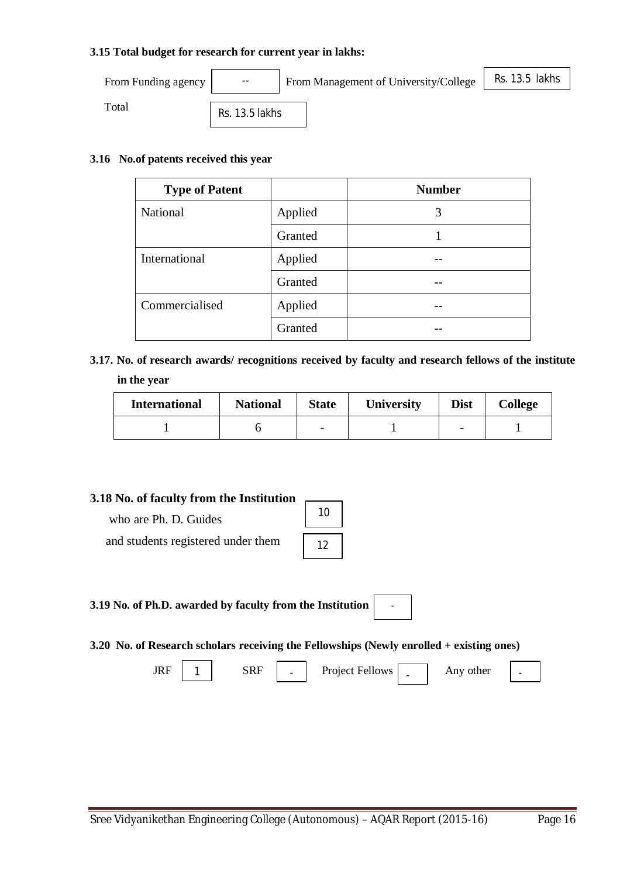#### **3.15 Total budget for research for current year in lakhs:**

| From Funding agency | $\overline{\phantom{a}}$ | From Management of University/College | Rs. 13.5 lakhs |
|---------------------|--------------------------|---------------------------------------|----------------|
| Total               | $De$ 12 $E$ lakhe        |                                       |                |

Rs. 13.5 lakhs

#### **3.16 No.of patents received this year**

| <b>Type of Patent</b> |         | <b>Number</b> |
|-----------------------|---------|---------------|
| National              | Applied | 3             |
|                       | Granted |               |
| International         | Applied |               |
|                       | Granted |               |
| Commercialised        | Applied |               |
|                       | Granted |               |

**3.17. No. of research awards/ recognitions received by faculty and research fellows of the institute in the year**

| <b>International</b> | <b>National</b> |  | <b>University</b><br><b>State</b> |                          | College |  |
|----------------------|-----------------|--|-----------------------------------|--------------------------|---------|--|
|                      |                 |  |                                   | $\overline{\phantom{0}}$ |         |  |

#### **3.18 No. of faculty from the Institution**

 who are Ph. D. Guides and students registered under them

10 12

**3.19 No. of Ph.D. awarded by faculty from the Institution** 

**3.20 No. of Research scholars receiving the Fellowships (Newly enrolled + existing ones)**

 $JRF$  1 SRF  $\Box$  Project Fellows  $\Box$  Any other

-

-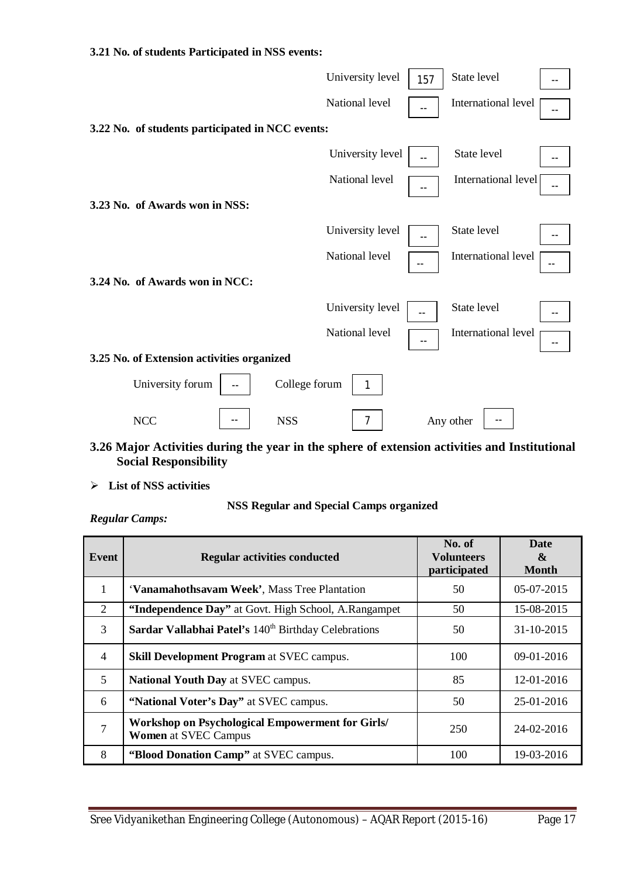#### **3.21 No. of students Participated in NSS events:**

|                                                  | University level | 157 | State level                 |
|--------------------------------------------------|------------------|-----|-----------------------------|
|                                                  | National level   |     | International level         |
| 3.22 No. of students participated in NCC events: |                  |     |                             |
|                                                  | University level |     | State level                 |
|                                                  | National level   |     | International level<br>$-1$ |
| 3.23 No. of Awards won in NSS:                   |                  |     |                             |
|                                                  | University level | $-$ | State level                 |
|                                                  | National level   | --  | International level<br>$-1$ |
| 3.24 No. of Awards won in NCC:                   |                  |     |                             |
|                                                  | University level |     | State level                 |
|                                                  | National level   | $-$ | International level         |
| 3.25 No. of Extension activities organized       |                  |     |                             |
| University forum<br>College forum                |                  |     |                             |
| <b>NCC</b><br><b>NSS</b>                         | 7                |     | Any other                   |

### **3.26 Major Activities during the year in the sphere of extension activities and Institutional Social Responsibility**

**List of NSS activities**

#### **NSS Regular and Special Camps organized**

*Regular Camps:*

| Event          | <b>Regular activities conducted</b>                                                    | No. of<br><b>Volunteers</b><br>participated | <b>Date</b><br>&<br><b>Month</b> |
|----------------|----------------------------------------------------------------------------------------|---------------------------------------------|----------------------------------|
| 1              | 'Vanamahothsavam Week', Mass Tree Plantation                                           | 50                                          | $05-07-2015$                     |
| 2              | "Independence Day" at Govt. High School, A.Rangampet                                   | 50                                          | 15-08-2015                       |
| 3              | Sardar Vallabhai Patel's 140 <sup>th</sup> Birthday Celebrations                       | 50                                          | 31-10-2015                       |
| $\overline{4}$ | <b>Skill Development Program at SVEC campus.</b>                                       | 100                                         | $09-01-2016$                     |
| 5              | <b>National Youth Day at SVEC campus.</b>                                              | 85                                          | 12-01-2016                       |
| 6              | "National Voter's Day" at SVEC campus.                                                 | 50                                          | 25-01-2016                       |
| 7              | <b>Workshop on Psychological Empowerment for Girls/</b><br><b>Women</b> at SVEC Campus | 250                                         | 24-02-2016                       |
| 8              | "Blood Donation Camp" at SVEC campus.                                                  | 100                                         | 19-03-2016                       |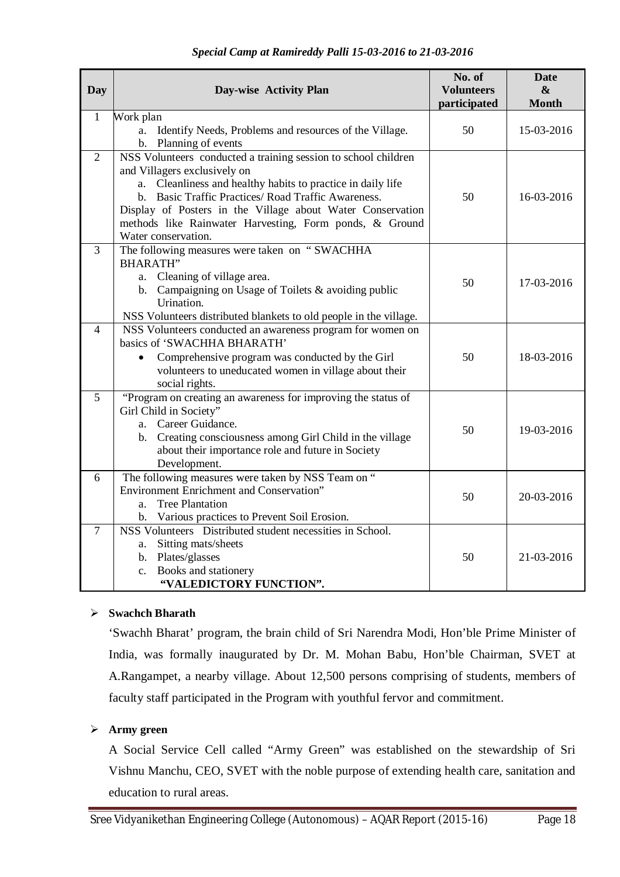| <b>Day</b>     | Day-wise Activity Plan                                                                      | No. of<br><b>Volunteers</b><br>participated | <b>Date</b><br>$\boldsymbol{\&}$<br><b>Month</b> |
|----------------|---------------------------------------------------------------------------------------------|---------------------------------------------|--------------------------------------------------|
| $\mathbf{1}$   | Work plan                                                                                   |                                             |                                                  |
|                | Identify Needs, Problems and resources of the Village.<br>a.                                | 50                                          | 15-03-2016                                       |
|                | b. Planning of events                                                                       |                                             |                                                  |
| 2              | NSS Volunteers conducted a training session to school children                              |                                             |                                                  |
|                | and Villagers exclusively on<br>a. Cleanliness and healthy habits to practice in daily life |                                             |                                                  |
|                | b. Basic Traffic Practices/Road Traffic Awareness.                                          | 50                                          | 16-03-2016                                       |
|                | Display of Posters in the Village about Water Conservation                                  |                                             |                                                  |
|                | methods like Rainwater Harvesting, Form ponds, & Ground                                     |                                             |                                                  |
|                | Water conservation.                                                                         |                                             |                                                  |
| $\overline{3}$ | The following measures were taken on "SWACHHA                                               |                                             |                                                  |
|                | <b>BHARATH"</b>                                                                             |                                             |                                                  |
|                | a. Cleaning of village area.                                                                | 50                                          | 17-03-2016                                       |
|                | b. Campaigning on Usage of Toilets & avoiding public                                        |                                             |                                                  |
|                | Urination.                                                                                  |                                             |                                                  |
|                | NSS Volunteers distributed blankets to old people in the village.                           |                                             |                                                  |
| $\overline{4}$ | NSS Volunteers conducted an awareness program for women on                                  |                                             |                                                  |
|                | basics of 'SWACHHA BHARATH'                                                                 |                                             |                                                  |
|                | Comprehensive program was conducted by the Girl<br>$\bullet$                                | 50                                          | 18-03-2016                                       |
|                | volunteers to uneducated women in village about their                                       |                                             |                                                  |
| 5              | social rights.<br>"Program on creating an awareness for improving the status of             |                                             |                                                  |
|                | Girl Child in Society"                                                                      |                                             |                                                  |
|                | a. Career Guidance.                                                                         |                                             |                                                  |
|                | b. Creating consciousness among Girl Child in the village                                   | 50                                          | 19-03-2016                                       |
|                | about their importance role and future in Society                                           |                                             |                                                  |
|                | Development.                                                                                |                                             |                                                  |
| 6              | The following measures were taken by NSS Team on "                                          |                                             |                                                  |
|                | <b>Environment Enrichment and Conservation"</b>                                             | 50                                          | 20-03-2016                                       |
|                | <b>Tree Plantation</b><br>a.                                                                |                                             |                                                  |
|                | b. Various practices to Prevent Soil Erosion.                                               |                                             |                                                  |
| $\tau$         | NSS Volunteers Distributed student necessities in School.                                   |                                             |                                                  |
|                | Sitting mats/sheets<br>a.                                                                   |                                             |                                                  |
|                | b. Plates/glasses                                                                           | 50                                          | 21-03-2016                                       |
|                | c. Books and stationery<br>"VALEDICTORY FUNCTION".                                          |                                             |                                                  |
|                |                                                                                             |                                             |                                                  |

#### **Swachch Bharath**

'Swachh Bharat' program, the brain child of Sri Narendra Modi, Hon'ble Prime Minister of India, was formally inaugurated by Dr. M. Mohan Babu, Hon'ble Chairman, SVET at A.Rangampet, a nearby village. About 12,500 persons comprising of students, members of faculty staff participated in the Program with youthful fervor and commitment.

# **Army green**

A Social Service Cell called "Army Green" was established on the stewardship of Sri Vishnu Manchu, CEO, SVET with the noble purpose of extending health care, sanitation and education to rural areas.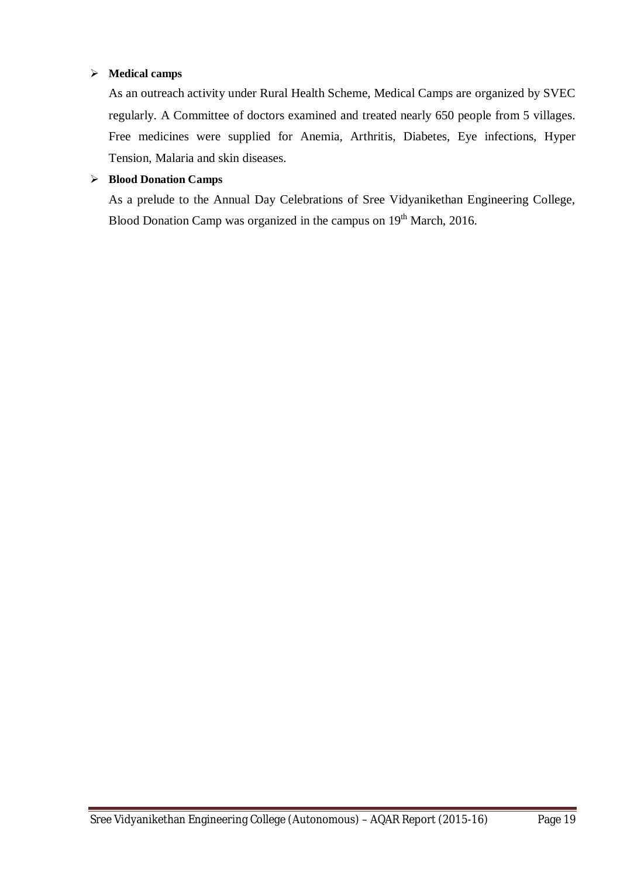#### **Medical camps**

As an outreach activity under Rural Health Scheme, Medical Camps are organized by SVEC regularly. A Committee of doctors examined and treated nearly 650 people from 5 villages. Free medicines were supplied for Anemia, Arthritis, Diabetes, Eye infections, Hyper Tension, Malaria and skin diseases.

#### **Blood Donation Camps**

As a prelude to the Annual Day Celebrations of Sree Vidyanikethan Engineering College, Blood Donation Camp was organized in the campus on 19<sup>th</sup> March, 2016.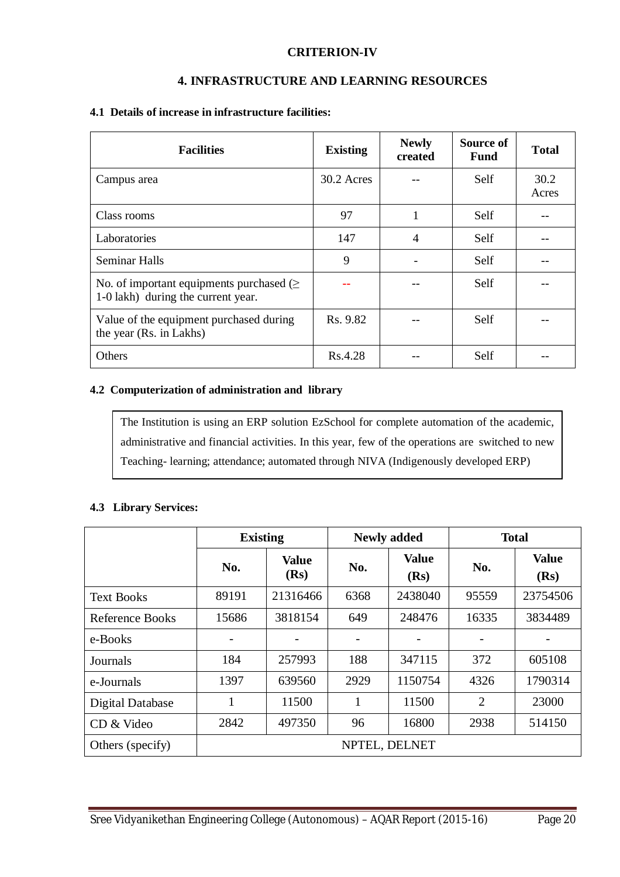#### **CRITERION-IV**

#### **4. INFRASTRUCTURE AND LEARNING RESOURCES**

#### **4.1 Details of increase in infrastructure facilities:**

| <b>Facilities</b>                                                                   | <b>Existing</b> | <b>Newly</b><br>created | Source of<br><b>Fund</b> | <b>Total</b>  |
|-------------------------------------------------------------------------------------|-----------------|-------------------------|--------------------------|---------------|
| Campus area                                                                         | 30.2 Acres      |                         | Self                     | 30.2<br>Acres |
| Class rooms                                                                         | 97              |                         | Self                     |               |
| Laboratories                                                                        | 147             | 4                       | Self                     |               |
| <b>Seminar Halls</b>                                                                | 9               |                         | Self                     |               |
| No. of important equipments purchased $(\geq$<br>1-0 lakh) during the current year. |                 |                         | Self                     |               |
| Value of the equipment purchased during<br>the year (Rs. in Lakhs)                  | Rs. 9.82        |                         | Self                     |               |
| <b>Others</b>                                                                       | Rs.4.28         |                         | Self                     |               |

#### **4.2 Computerization of administration and library**

The Institution is using an ERP solution EzSchool for complete automation of the academic, administrative and financial activities. In this year, few of the operations are switched to new Teaching- learning; attendance; automated through NIVA (Indigenously developed ERP)

#### **4.3 Library Services:**

|                   | <b>Existing</b> |                      |      | <b>Newly added</b>   | <b>Total</b>   |                      |  |
|-------------------|-----------------|----------------------|------|----------------------|----------------|----------------------|--|
|                   | No.             | <b>Value</b><br>(Rs) | No.  | <b>Value</b><br>(Rs) | No.            | <b>Value</b><br>(Rs) |  |
| <b>Text Books</b> | 89191           | 21316466             | 6368 | 2438040              | 95559          | 23754506             |  |
| Reference Books   | 15686           | 3818154              | 649  | 248476               | 16335          | 3834489              |  |
| e-Books           | -               |                      |      |                      |                |                      |  |
| Journals          | 184             | 257993               | 188  | 347115               | 372            | 605108               |  |
| e-Journals        | 1397            | 639560               | 2929 | 1150754              | 4326           | 1790314              |  |
| Digital Database  | 1               | 11500                | 1    | 11500                | $\overline{2}$ | 23000                |  |
| CD & Video        | 2842            | 497350               | 96   | 16800                | 2938           | 514150               |  |
| Others (specify)  | NPTEL, DELNET   |                      |      |                      |                |                      |  |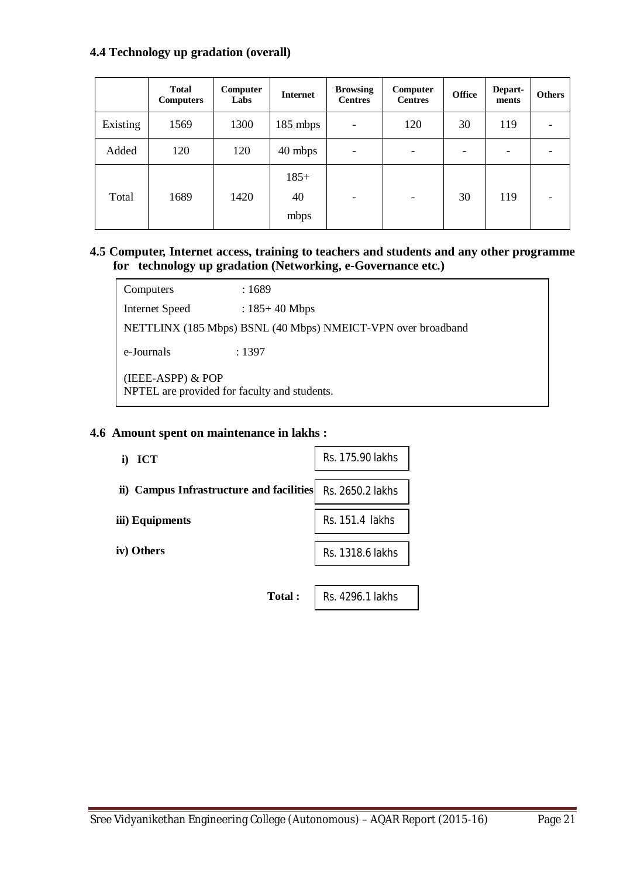#### **4.4 Technology up gradation (overall)**

|          | <b>Total</b><br><b>Computers</b> | Computer<br>Labs | <b>Internet</b>      | <b>Browsing</b><br><b>Centres</b> | Computer<br><b>Centres</b> | <b>Office</b> | <b>Depart-</b><br>ments | <b>Others</b> |
|----------|----------------------------------|------------------|----------------------|-----------------------------------|----------------------------|---------------|-------------------------|---------------|
| Existing | 1569                             | 1300             | $185$ mbps           | $\overline{\phantom{a}}$          | 120                        | 30            | 119                     |               |
| Added    | 120                              | 120              | 40 mbps              | $\overline{\phantom{a}}$          | -                          |               | -                       |               |
| Total    | 1689                             | 1420             | $185+$<br>40<br>mbps | $\overline{\phantom{a}}$          | $\overline{\phantom{0}}$   | 30            | 119                     |               |

#### **4.5 Computer, Internet access, training to teachers and students and any other programme for technology up gradation (Networking, e-Governance etc.)**

Computers : 1689 Internet Speed : 185+40 Mbps NETTLINX (185 Mbps) BSNL (40 Mbps) NMEICT-VPN over broadband e-Journals : 1397 (IEEE-ASPP) & POP NPTEL are provided for faculty and students.

#### **4.6 Amount spent on maintenance in lakhs :**

| i) ICT                                   | Rs. 175.90 lakhs |
|------------------------------------------|------------------|
| ii) Campus Infrastructure and facilities | Rs. 2650.2 lakhs |
| iii) Equipments                          | Rs. 151.4 lakhs  |
| iv) Others                               | Rs. 1318.6 lakhs |
|                                          |                  |
| <b>Total:</b>                            | Rs. 4296.1 lakhs |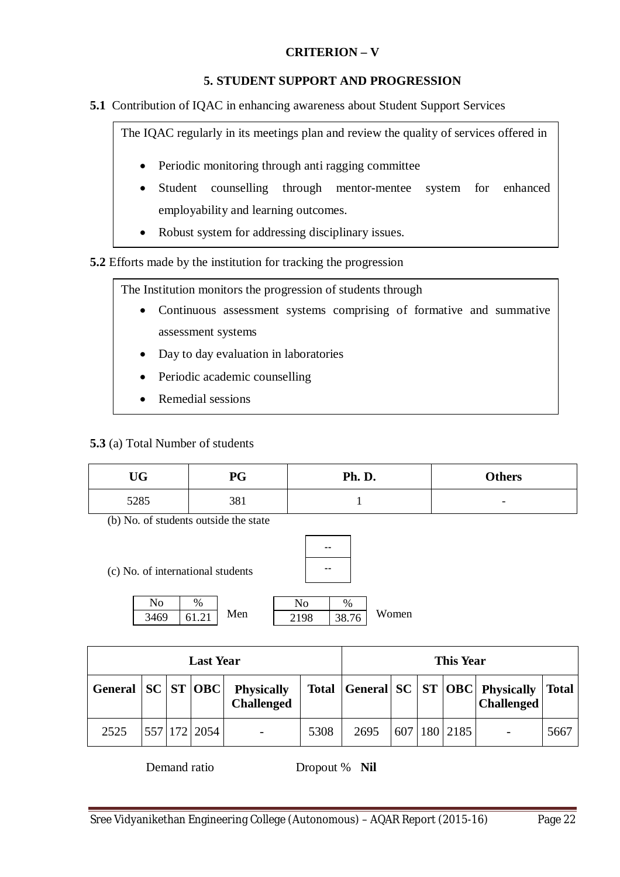# **CRITERION – V**

#### **5. STUDENT SUPPORT AND PROGRESSION**

**5.1** Contribution of IQAC in enhancing awareness about Student Support Services

The IQAC regularly in its meetings plan and review the quality of services offered in

- Periodic monitoring through anti ragging committee
- Student counselling through mentor-mentee system for enhanced employability and learning outcomes.
- Robust system for addressing disciplinary issues.

**5.2** Efforts made by the institution for tracking the progression

The Institution monitors the progression of students through

- Continuous assessment systems comprising of formative and summative assessment systems
- Day to day evaluation in laboratories
- Periodic academic counselling
- Remedial sessions

**5.3** (a) Total Number of students

| TTM<br>UU | PG  | Ph. D. | <b>Others</b>            |
|-----------|-----|--------|--------------------------|
| 5285      | 381 |        | $\overline{\phantom{0}}$ |

-- --

(b) No. of students outside the state

(c) No. of international students



| <b>Last Year</b>        |  |  |                  |                                        | <b>This Year</b> |      |     |  |            |                                                         |              |
|-------------------------|--|--|------------------|----------------------------------------|------------------|------|-----|--|------------|---------------------------------------------------------|--------------|
| General   SC   ST   OBC |  |  |                  | <b>Physically</b><br><b>Challenged</b> | <b>Total</b>     |      |     |  |            | General SC   ST   OBC   Physically<br><b>Challenged</b> | <b>Total</b> |
| 2525                    |  |  | 557   172   2054 | $\overline{\phantom{a}}$               | 5308             | 2695 | 607 |  | 180   2185 |                                                         | 5667         |

Demand ratio Dropout % **Nil**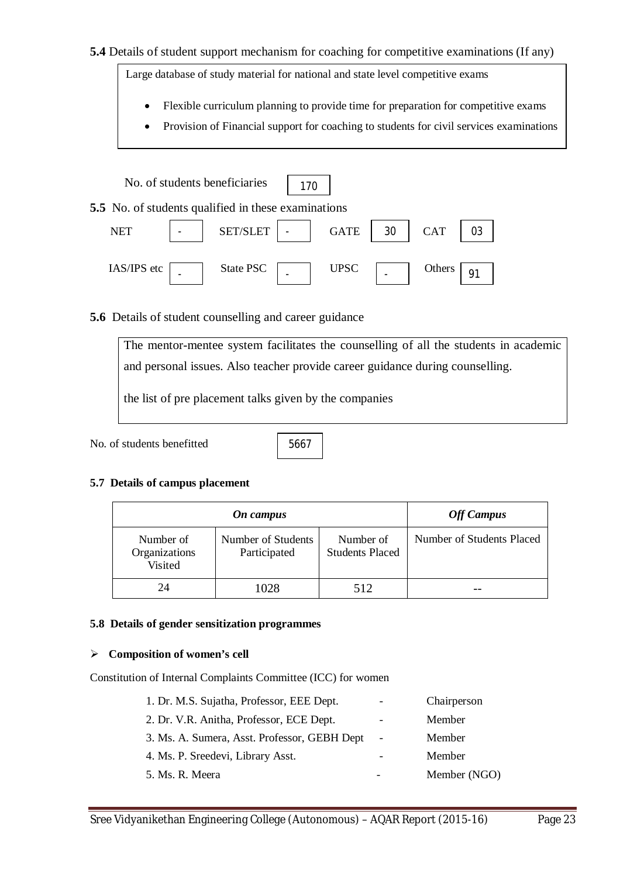#### **5.4** Details of student support mechanism for coaching for competitive examinations (If any)

Large database of study material for national and state level competitive exams

- Flexible curriculum planning to provide time for preparation for competitive exams
- Provision of Financial support for coaching to students for civil services examinations

|             | No. of students beneficiaries                              | 170 |             |    |            |    |
|-------------|------------------------------------------------------------|-----|-------------|----|------------|----|
|             | <b>5.5</b> No. of students qualified in these examinations |     |             |    |            |    |
| <b>NET</b>  | SET/SLET                                                   |     | <b>GATE</b> | 30 | <b>CAT</b> | 03 |
| IAS/IPS etc | State PSC                                                  |     | <b>UPSC</b> |    | Others     |    |

#### **5.6** Details of student counselling and career guidance

The mentor-mentee system facilitates the counselling of all the students in academic and personal issues. Also teacher provide career guidance during counselling.

the list of pre placement talks given by the companies

No. of students benefitted

5667

#### **5.7 Details of campus placement**

| On campus                             |                                    |                                     | <b>Off Campus</b>         |
|---------------------------------------|------------------------------------|-------------------------------------|---------------------------|
| Number of<br>Organizations<br>Visited | Number of Students<br>Participated | Number of<br><b>Students Placed</b> | Number of Students Placed |
| 24                                    | 1028                               | 512.                                |                           |

#### **5.8 Details of gender sensitization programmes**

#### **Composition of women's cell**

Constitution of Internal Complaints Committee (ICC) for women

| 1. Dr. M.S. Sujatha, Professor, EEE Dept.    | $\overline{\phantom{a}}$ | Chairperson  |
|----------------------------------------------|--------------------------|--------------|
| 2. Dr. V.R. Anitha, Professor, ECE Dept.     | $\overline{\phantom{a}}$ | Member       |
| 3. Ms. A. Sumera, Asst. Professor, GEBH Dept | $\overline{\phantom{a}}$ | Member       |
| 4. Ms. P. Sreedevi, Library Asst.            |                          | Member       |
| 5. Ms. R. Meera                              |                          | Member (NGO) |
|                                              |                          |              |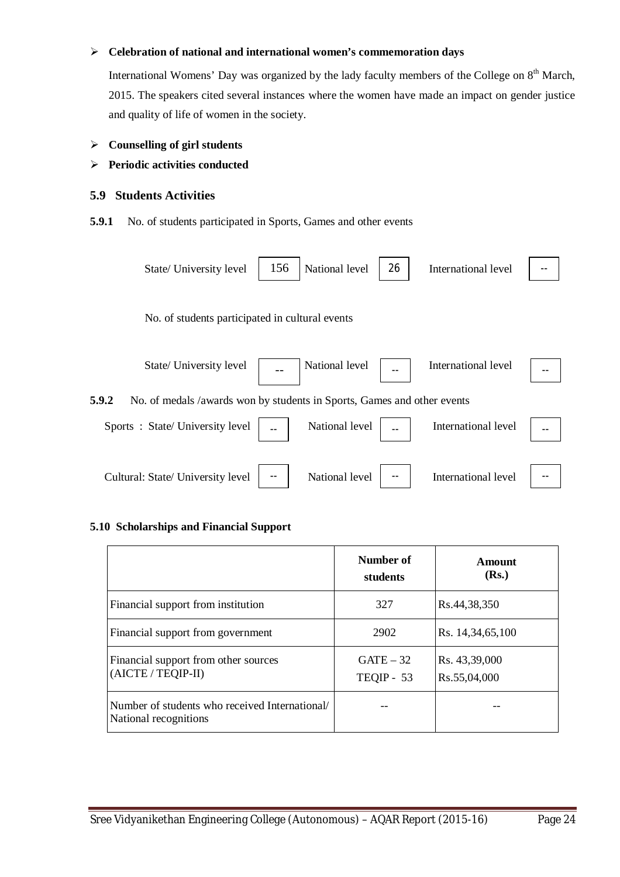#### **Celebration of national and international women's commemoration days**

International Womens' Day was organized by the lady faculty members of the College on  $8<sup>th</sup>$  March, 2015. The speakers cited several instances where the women have made an impact on gender justice and quality of life of women in the society.

#### **Counselling of girl students**

#### **Periodic activities conducted**

#### **5.9 Students Activities**

**5.9.1** No. of students participated in Sports, Games and other events



#### **5.10 Scholarships and Financial Support**

|                                                                         | Number of<br>students     | Amount<br>(Rs.)               |
|-------------------------------------------------------------------------|---------------------------|-------------------------------|
| Financial support from institution                                      | 327                       | Rs.44,38,350                  |
| Financial support from government                                       | 2902                      | Rs. 14,34,65,100              |
| Financial support from other sources<br>(AICTE/TEQIP-II)                | $GATE - 32$<br>TEQIP - 53 | Rs. 43,39,000<br>Rs.55,04,000 |
| Number of students who received International/<br>National recognitions |                           |                               |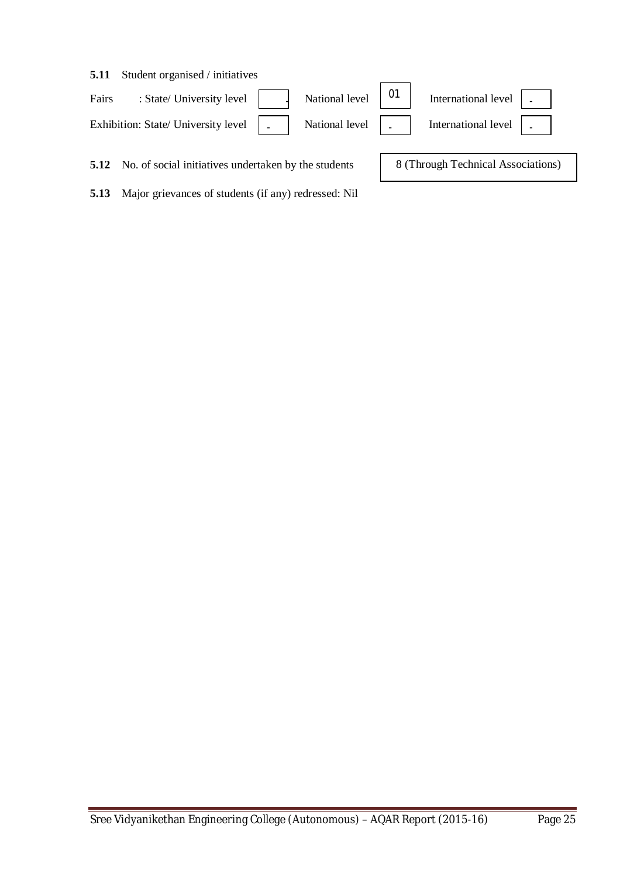#### **5.11** Student organised / initiatives

| Fairs | : State/ University level $\vert \vert$ | National level $\begin{bmatrix} 01 \end{bmatrix}$ | International level $\boxed{\phantom{a}}$ |
|-------|-----------------------------------------|---------------------------------------------------|-------------------------------------------|
|       | Exhibition: State/ University level   _ | National level                                    | International level $\vert$ .             |

 $\blacksquare$ 

 $\overline{\phantom{0}}$ 

**5.12** No. of social initiatives undertaken by the students

**5.13** Major grievances of students (if any) redressed: Nil

8 (Through Technical Associations)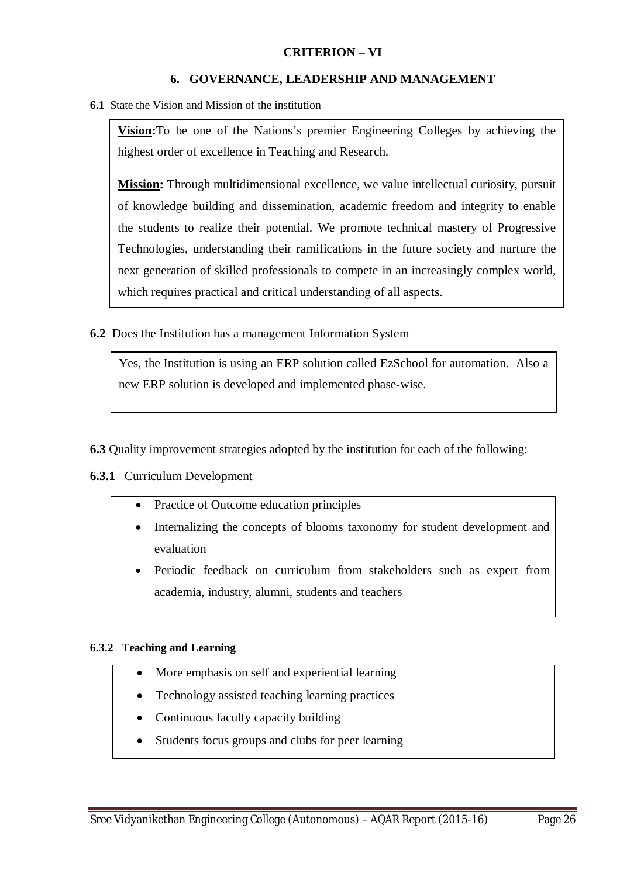#### **CRITERION – VI**

#### **6. GOVERNANCE, LEADERSHIP AND MANAGEMENT**

**6.1** State the Vision and Mission of the institution

**Vision:**To be one of the Nations's premier Engineering Colleges by achieving the highest order of excellence in Teaching and Research.

**Mission:** Through multidimensional excellence, we value intellectual curiosity, pursuit of knowledge building and dissemination, academic freedom and integrity to enable the students to realize their potential. We promote technical mastery of Progressive Technologies, understanding their ramifications in the future society and nurture the next generation of skilled professionals to compete in an increasingly complex world, which requires practical and critical understanding of all aspects.

**6.2** Does the Institution has a management Information System

Yes, the Institution is using an ERP solution called EzSchool for automation. Also a new ERP solution is developed and implemented phase-wise.

- **6.3** Quality improvement strategies adopted by the institution for each of the following:
- **6.3.1** Curriculum Development
	- Practice of Outcome education principles
	- Internalizing the concepts of blooms taxonomy for student development and evaluation
	- Periodic feedback on curriculum from stakeholders such as expert from academia, industry, alumni, students and teachers

#### **6.3.2 Teaching and Learning**

- More emphasis on self and experiential learning
- Technology assisted teaching learning practices
- Continuous faculty capacity building
- Students focus groups and clubs for peer learning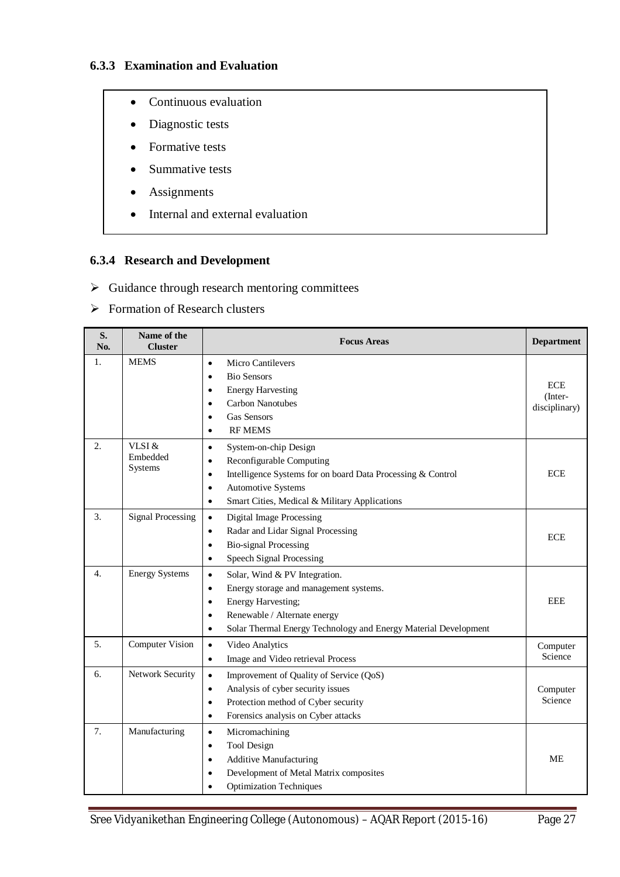### **6.3.3 Examination and Evaluation**

- Continuous evaluation
- Diagnostic tests
- Formative tests
- Summative tests
- Assignments
- Internal and external evaluation

### **6.3.4 Research and Development**

- $\triangleright$  Guidance through research mentoring committees
- $\triangleright$  Formation of Research clusters

| S.<br>No. | Name of the<br><b>Cluster</b> | <b>Focus Areas</b>                                                                                                                                                                                                                                              | <b>Department</b>                      |
|-----------|-------------------------------|-----------------------------------------------------------------------------------------------------------------------------------------------------------------------------------------------------------------------------------------------------------------|----------------------------------------|
| 1.        | <b>MEMS</b>                   | <b>Micro Cantilevers</b><br>$\bullet$<br><b>Bio Sensors</b><br>$\bullet$<br><b>Energy Harvesting</b><br>$\bullet$<br><b>Carbon Nanotubes</b><br>$\bullet$<br><b>Gas Sensors</b><br>٠<br><b>RF MEMS</b><br>$\bullet$                                             | <b>ECE</b><br>(Inter-<br>disciplinary) |
| 2.        | VLSI &<br>Embedded<br>Systems | System-on-chip Design<br>$\bullet$<br>Reconfigurable Computing<br>$\bullet$<br>Intelligence Systems for on board Data Processing & Control<br>$\bullet$<br><b>Automotive Systems</b><br>$\bullet$<br>Smart Cities, Medical & Military Applications<br>$\bullet$ | <b>ECE</b>                             |
| 3.        | <b>Signal Processing</b>      | <b>Digital Image Processing</b><br>$\bullet$<br>Radar and Lidar Signal Processing<br>$\bullet$<br><b>Bio-signal Processing</b><br>$\bullet$<br><b>Speech Signal Processing</b><br>$\bullet$                                                                     | <b>ECE</b>                             |
| 4.        | <b>Energy Systems</b>         | Solar, Wind & PV Integration.<br>$\bullet$<br>Energy storage and management systems.<br>$\bullet$<br>Energy Harvesting;<br>$\bullet$<br>Renewable / Alternate energy<br>٠<br>Solar Thermal Energy Technology and Energy Material Development<br>$\bullet$       | <b>EEE</b>                             |
| 5.        | <b>Computer Vision</b>        | Video Analytics<br>$\bullet$<br>Image and Video retrieval Process<br>$\bullet$                                                                                                                                                                                  | Computer<br>Science                    |
| 6.        | Network Security              | Improvement of Quality of Service (QoS)<br>$\bullet$<br>Analysis of cyber security issues<br>$\bullet$<br>Protection method of Cyber security<br>$\bullet$<br>Forensics analysis on Cyber attacks<br>٠                                                          | Computer<br>Science                    |
| 7.        | Manufacturing                 | Micromachining<br>$\bullet$<br>Tool Design<br>$\bullet$<br><b>Additive Manufacturing</b><br>Development of Metal Matrix composites<br><b>Optimization Techniques</b>                                                                                            | <b>ME</b>                              |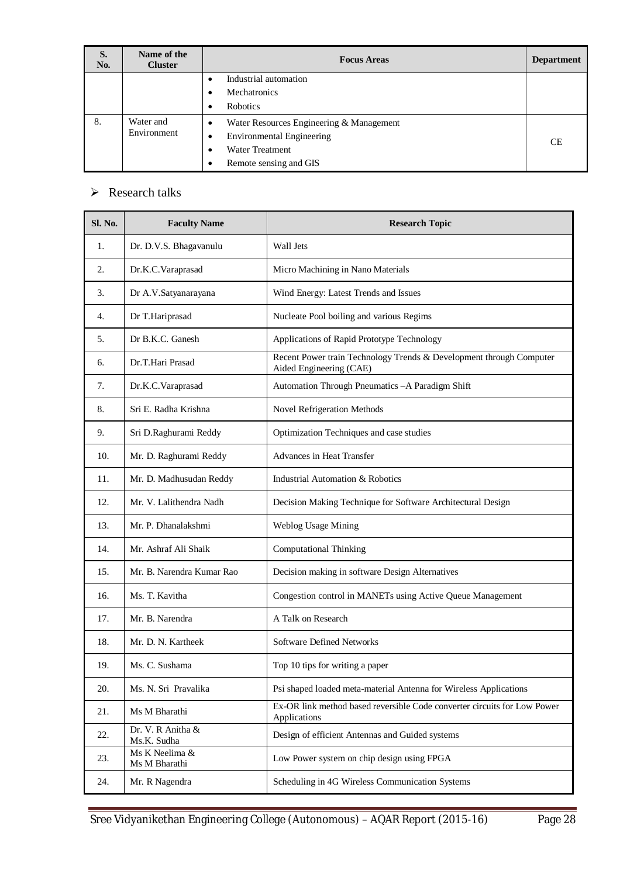| S.<br>No. | Name of the<br><b>Cluster</b> | <b>Focus Areas</b>                            | <b>Department</b> |
|-----------|-------------------------------|-----------------------------------------------|-------------------|
|           |                               | Industrial automation<br>٠                    |                   |
|           |                               | Mechatronics                                  |                   |
|           |                               | <b>Robotics</b><br>$\bullet$                  |                   |
| 8.        | Water and                     | Water Resources Engineering & Management<br>٠ |                   |
|           | Environment                   | Environmental Engineering<br>٠                | <b>CE</b>         |
|           |                               | <b>Water Treatment</b>                        |                   |
|           |                               | Remote sensing and GIS                        |                   |

# $\triangleright$  Research talks

| <b>Sl. No.</b> | <b>Faculty Name</b>              | <b>Research Topic</b>                                                                          |
|----------------|----------------------------------|------------------------------------------------------------------------------------------------|
| 1.             | Dr. D.V.S. Bhagavanulu           | Wall Jets                                                                                      |
| 2.             | Dr.K.C. Varaprasad               | Micro Machining in Nano Materials                                                              |
| 3.             | Dr A.V.Satyanarayana             | Wind Energy: Latest Trends and Issues                                                          |
| 4.             | Dr T.Hariprasad                  | Nucleate Pool boiling and various Regims                                                       |
| 5.             | Dr B.K.C. Ganesh                 | Applications of Rapid Prototype Technology                                                     |
| 6.             | Dr.T.Hari Prasad                 | Recent Power train Technology Trends & Development through Computer<br>Aided Engineering (CAE) |
| 7.             | Dr.K.C.Varaprasad                | Automation Through Pneumatics - A Paradigm Shift                                               |
| 8.             | Sri E. Radha Krishna             | Novel Refrigeration Methods                                                                    |
| 9.             | Sri D.Raghurami Reddy            | Optimization Techniques and case studies                                                       |
| 10.            | Mr. D. Raghurami Reddy           | Advances in Heat Transfer                                                                      |
| 11.            | Mr. D. Madhusudan Reddy          | Industrial Automation & Robotics                                                               |
| 12.            | Mr. V. Lalithendra Nadh          | Decision Making Technique for Software Architectural Design                                    |
| 13.            | Mr. P. Dhanalakshmi              | Weblog Usage Mining                                                                            |
| 14.            | Mr. Ashraf Ali Shaik             | <b>Computational Thinking</b>                                                                  |
| 15.            | Mr. B. Narendra Kumar Rao        | Decision making in software Design Alternatives                                                |
| 16.            | Ms. T. Kavitha                   | Congestion control in MANETs using Active Queue Management                                     |
| 17.            | Mr. B. Narendra                  | A Talk on Research                                                                             |
| 18.            | Mr. D. N. Kartheek               | <b>Software Defined Networks</b>                                                               |
| 19.            | Ms. C. Sushama                   | Top 10 tips for writing a paper                                                                |
| 20.            | Ms. N. Sri Pravalika             | Psi shaped loaded meta-material Antenna for Wireless Applications                              |
| 21.            | Ms M Bharathi                    | Ex-OR link method based reversible Code converter circuits for Low Power<br>Applications       |
| 22.            | Dr. V. R Anitha &<br>Ms.K. Sudha | Design of efficient Antennas and Guided systems                                                |
| 23.            | Ms K Neelima &<br>Ms M Bharathi  | Low Power system on chip design using FPGA                                                     |
| 24.            | Mr. R Nagendra                   | Scheduling in 4G Wireless Communication Systems                                                |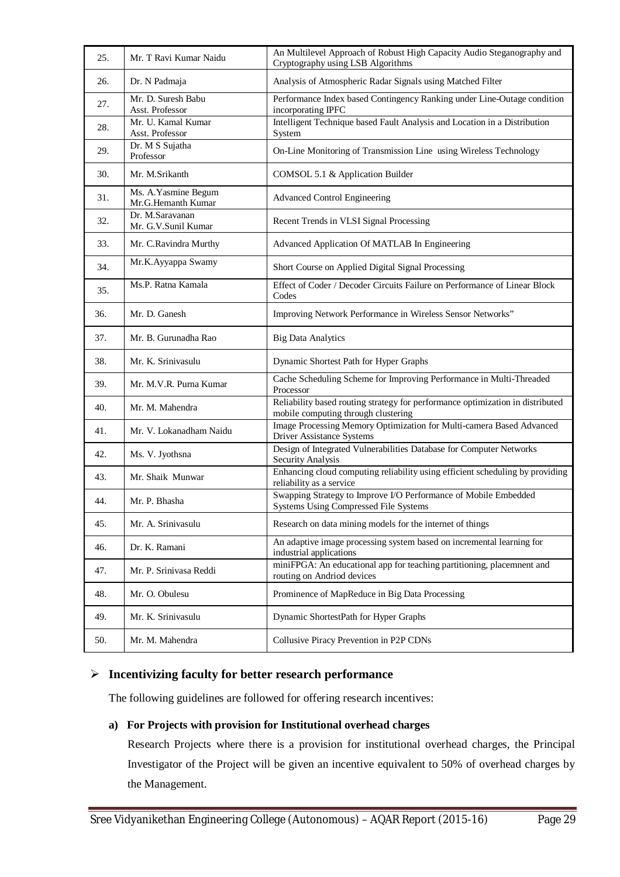| 25. | Mr. T Ravi Kumar Naidu                     | An Multilevel Approach of Robust High Capacity Audio Steganography and<br>Cryptography using LSB Algorithms           |
|-----|--------------------------------------------|-----------------------------------------------------------------------------------------------------------------------|
| 26. | Dr. N Padmaja                              | Analysis of Atmospheric Radar Signals using Matched Filter                                                            |
| 27. | Mr. D. Suresh Babu<br>Asst. Professor      | Performance Index based Contingency Ranking under Line-Outage condition<br>incorporating IPFC                         |
| 28. | Mr. U. Kamal Kumar<br>Asst. Professor      | Intelligent Technique based Fault Analysis and Location in a Distribution<br>System                                   |
| 29. | Dr. M S Sujatha<br>Professor               | On-Line Monitoring of Transmission Line using Wireless Technology                                                     |
| 30. | Mr. M.Srikanth                             | COMSOL 5.1 & Application Builder                                                                                      |
| 31. | Ms. A. Yasmine Begum<br>Mr.G.Hemanth Kumar | <b>Advanced Control Engineering</b>                                                                                   |
| 32. | Dr. M.Saravanan<br>Mr. G.V.Sunil Kumar     | Recent Trends in VLSI Signal Processing                                                                               |
| 33. | Mr. C.Ravindra Murthy                      | Advanced Application Of MATLAB In Engineering                                                                         |
| 34. | Mr.K.Ayyappa Swamy                         | Short Course on Applied Digital Signal Processing                                                                     |
| 35. | Ms.P. Ratna Kamala                         | Effect of Coder / Decoder Circuits Failure on Performance of Linear Block<br>Codes                                    |
| 36. | Mr. D. Ganesh                              | Improving Network Performance in Wireless Sensor Networks"                                                            |
| 37. | Mr. B. Gurunadha Rao                       | <b>Big Data Analytics</b>                                                                                             |
| 38. | Mr. K. Srinivasulu                         | Dynamic Shortest Path for Hyper Graphs                                                                                |
| 39. | Mr. M.V.R. Purna Kumar                     | Cache Scheduling Scheme for Improving Performance in Multi-Threaded<br>Processor                                      |
| 40. | Mr. M. Mahendra                            | Reliability based routing strategy for performance optimization in distributed<br>mobile computing through clustering |
| 41. | Mr. V. Lokanadham Naidu                    | Image Processing Memory Optimization for Multi-camera Based Advanced<br>Driver Assistance Systems                     |
| 42. | Ms. V. Jyothsna                            | Design of Integrated Vulnerabilities Database for Computer Networks<br>Security Analysis                              |
| 43. | Mr. Shaik Munwar                           | Enhancing cloud computing reliability using efficient scheduling by providing<br>reliability as a service             |
| 44. | Mr. P. Bhasha                              | Swapping Strategy to Improve I/O Performance of Mobile Embedded<br><b>Systems Using Compressed File Systems</b>       |
| 45. | Mr. A. Srinivasulu                         | Research on data mining models for the internet of things                                                             |
| 46. | Dr. K. Ramani                              | An adaptive image processing system based on incremental learning for<br>industrial applications                      |
| 47. | Mr. P. Srinivasa Reddi                     | miniFPGA: An educational app for teaching partitioning, placemnent and<br>routing on Andriod devices                  |
| 48. | Mr. O. Obulesu                             | Prominence of MapReduce in Big Data Processing                                                                        |
| 49. | Mr. K. Srinivasulu                         | Dynamic ShortestPath for Hyper Graphs                                                                                 |
| 50. | Mr. M. Mahendra                            | Collusive Piracy Prevention in P2P CDNs                                                                               |

# **Incentivizing faculty for better research performance**

The following guidelines are followed for offering research incentives:

#### **a) For Projects with provision for Institutional overhead charges**

Research Projects where there is a provision for institutional overhead charges, the Principal Investigator of the Project will be given an incentive equivalent to 50% of overhead charges by the Management.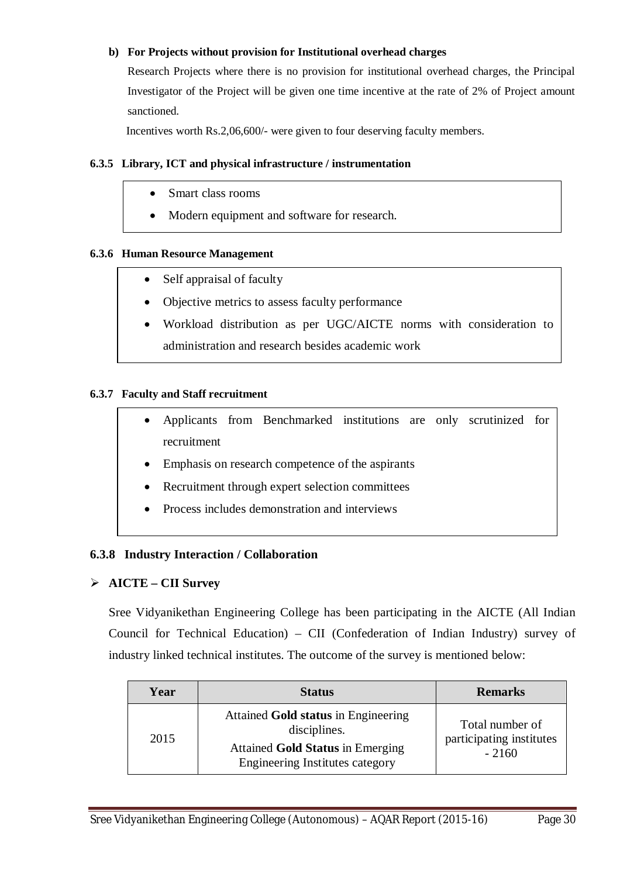#### **b) For Projects without provision for Institutional overhead charges**

Research Projects where there is no provision for institutional overhead charges, the Principal Investigator of the Project will be given one time incentive at the rate of 2% of Project amount sanctioned.

Incentives worth Rs.2,06,600/- were given to four deserving faculty members.

#### **6.3.5 Library, ICT and physical infrastructure / instrumentation**

- Smart class rooms
- Modern equipment and software for research.

#### **6.3.6 Human Resource Management**

- Self appraisal of faculty
- Objective metrics to assess faculty performance
- Workload distribution as per UGC/AICTE norms with consideration to administration and research besides academic work

#### **6.3.7 Faculty and Staff recruitment**

- Applicants from Benchmarked institutions are only scrutinized for recruitment
- Emphasis on research competence of the aspirants
- Recruitment through expert selection committees
- Process includes demonstration and interviews

#### **6.3.8 Industry Interaction / Collaboration**

#### **AICTE – CII Survey**

Sree Vidyanikethan Engineering College has been participating in the AICTE (All Indian Council for Technical Education) – CII (Confederation of Indian Industry) survey of industry linked technical institutes. The outcome of the survey is mentioned below:

| Year | <b>Status</b>                                                                                                                            | <b>Remarks</b>                                         |
|------|------------------------------------------------------------------------------------------------------------------------------------------|--------------------------------------------------------|
| 2015 | Attained Gold status in Engineering<br>disciplines.<br><b>Attained Gold Status in Emerging</b><br><b>Engineering Institutes category</b> | Total number of<br>participating institutes<br>$-2160$ |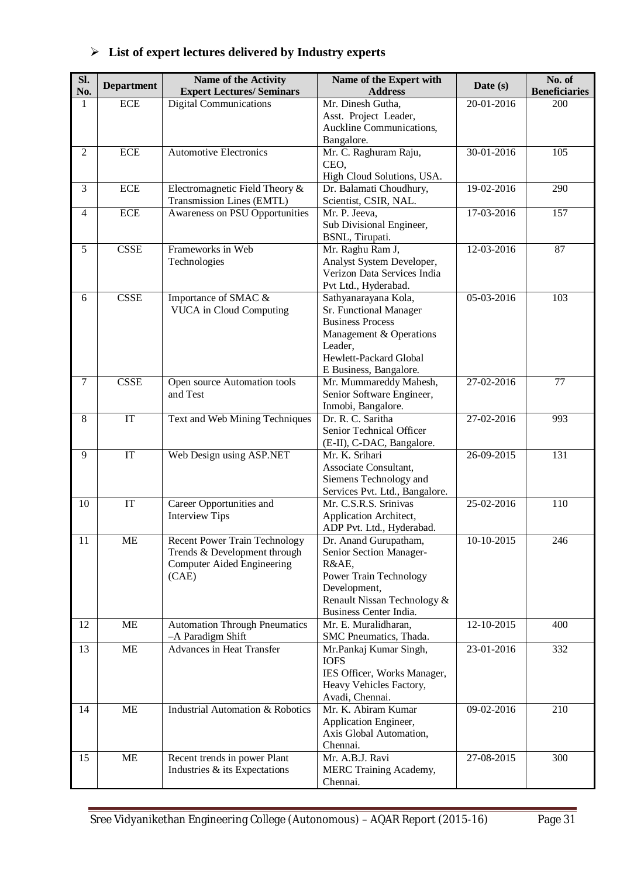| SI.            | <b>Department</b>      | Name of the Activity                        | Name of the Expert with                                | Date $(s)$       | No. of               |
|----------------|------------------------|---------------------------------------------|--------------------------------------------------------|------------------|----------------------|
| No.            |                        | <b>Expert Lectures/ Seminars</b>            | <b>Address</b>                                         |                  | <b>Beneficiaries</b> |
| 1              | <b>ECE</b>             | <b>Digital Communications</b>               | Mr. Dinesh Gutha,                                      | 20-01-2016       | 200                  |
|                |                        |                                             | Asst. Project Leader,                                  |                  |                      |
|                |                        |                                             | Auckline Communications,                               |                  |                      |
|                |                        |                                             | Bangalore.                                             |                  |                      |
| $\overline{2}$ | <b>ECE</b>             | <b>Automotive Electronics</b>               | Mr. C. Raghuram Raju,                                  | $30 - 01 - 2016$ | 105                  |
|                |                        |                                             | CEO,                                                   |                  |                      |
|                |                        |                                             | High Cloud Solutions, USA.                             |                  |                      |
| 3              | <b>ECE</b>             | Electromagnetic Field Theory &              | Dr. Balamati Choudhury,                                | 19-02-2016       | 290                  |
|                |                        | Transmission Lines (EMTL)                   | Scientist, CSIR, NAL.                                  |                  |                      |
| $\overline{4}$ | <b>ECE</b>             | Awareness on PSU Opportunities              | Mr. P. Jeeva,                                          | 17-03-2016       | 157                  |
|                |                        |                                             | Sub Divisional Engineer,                               |                  |                      |
|                |                        |                                             | BSNL, Tirupati.                                        |                  |                      |
| 5              | <b>CSSE</b>            | Frameworks in Web                           | Mr. Raghu Ram J,                                       | 12-03-2016       | 87                   |
|                |                        | Technologies                                | Analyst System Developer,                              |                  |                      |
|                |                        |                                             | Verizon Data Services India                            |                  |                      |
|                | <b>CSSE</b>            |                                             | Pvt Ltd., Hyderabad.                                   |                  |                      |
| 6              |                        | Importance of SMAC &                        | Sathyanarayana Kola,                                   | 05-03-2016       | 103                  |
|                |                        | <b>VUCA</b> in Cloud Computing              | Sr. Functional Manager<br><b>Business Process</b>      |                  |                      |
|                |                        |                                             | Management & Operations                                |                  |                      |
|                |                        |                                             | Leader,                                                |                  |                      |
|                |                        |                                             | Hewlett-Packard Global                                 |                  |                      |
|                |                        |                                             | E Business, Bangalore.                                 |                  |                      |
| $\tau$         | <b>CSSE</b>            | Open source Automation tools                | Mr. Mummareddy Mahesh,                                 | $27 - 02 - 2016$ | 77                   |
|                |                        | and Test                                    | Senior Software Engineer,                              |                  |                      |
|                |                        |                                             | Inmobi, Bangalore.                                     |                  |                      |
| 8              | $\overline{\text{IT}}$ | Text and Web Mining Techniques              | Dr. R. C. Saritha                                      | 27-02-2016       | 993                  |
|                |                        |                                             | Senior Technical Officer                               |                  |                      |
|                |                        |                                             | (E-II), C-DAC, Bangalore.                              |                  |                      |
| 9              | $\overline{\text{IT}}$ | Web Design using ASP.NET                    | Mr. K. Srihari                                         | 26-09-2015       | 131                  |
|                |                        |                                             | Associate Consultant,                                  |                  |                      |
|                |                        |                                             | Siemens Technology and                                 |                  |                      |
|                |                        |                                             | Services Pvt. Ltd., Bangalore.                         |                  |                      |
| 10             | IT                     | Career Opportunities and                    | Mr. C.S.R.S. Srinivas                                  | 25-02-2016       | 110                  |
|                |                        | <b>Interview Tips</b>                       | Application Architect,                                 |                  |                      |
|                |                        |                                             | ADP Pvt. Ltd., Hyderabad.                              |                  |                      |
| 11             | ME                     | <b>Recent Power Train Technology</b>        | Dr. Anand Gurupatham,                                  | 10-10-2015       | 246                  |
|                |                        | Trends & Development through                | Senior Section Manager-                                |                  |                      |
|                |                        | Computer Aided Engineering                  | R&AE,                                                  |                  |                      |
|                |                        | (CAE)                                       | <b>Power Train Technology</b>                          |                  |                      |
|                |                        |                                             | Development,                                           |                  |                      |
|                |                        |                                             | Renault Nissan Technology &                            |                  |                      |
|                |                        |                                             | Business Center India.                                 |                  |                      |
| 12             | <b>ME</b>              | <b>Automation Through Pneumatics</b>        | Mr. E. Muralidharan,                                   | 12-10-2015       | 400                  |
|                |                        | -A Paradigm Shift                           | SMC Pneumatics, Thada.                                 |                  |                      |
| 13             | ME                     | <b>Advances in Heat Transfer</b>            | Mr.Pankaj Kumar Singh,<br><b>IOFS</b>                  | 23-01-2016       | 332                  |
|                |                        |                                             |                                                        |                  |                      |
|                |                        |                                             | IES Officer, Works Manager,<br>Heavy Vehicles Factory, |                  |                      |
|                |                        |                                             | Avadi, Chennai.                                        |                  |                      |
| 14             | ME                     | <b>Industrial Automation &amp; Robotics</b> | Mr. K. Abiram Kumar                                    | 09-02-2016       | 210                  |
|                |                        |                                             | Application Engineer,                                  |                  |                      |
|                |                        |                                             | Axis Global Automation,                                |                  |                      |
|                |                        |                                             | Chennai.                                               |                  |                      |
| 15             | <b>ME</b>              | Recent trends in power Plant                | Mr. A.B.J. Ravi                                        | 27-08-2015       | 300                  |
|                |                        | Industries & its Expectations               | MERC Training Academy,                                 |                  |                      |
|                |                        |                                             | Chennai.                                               |                  |                      |

# **List of expert lectures delivered by Industry experts**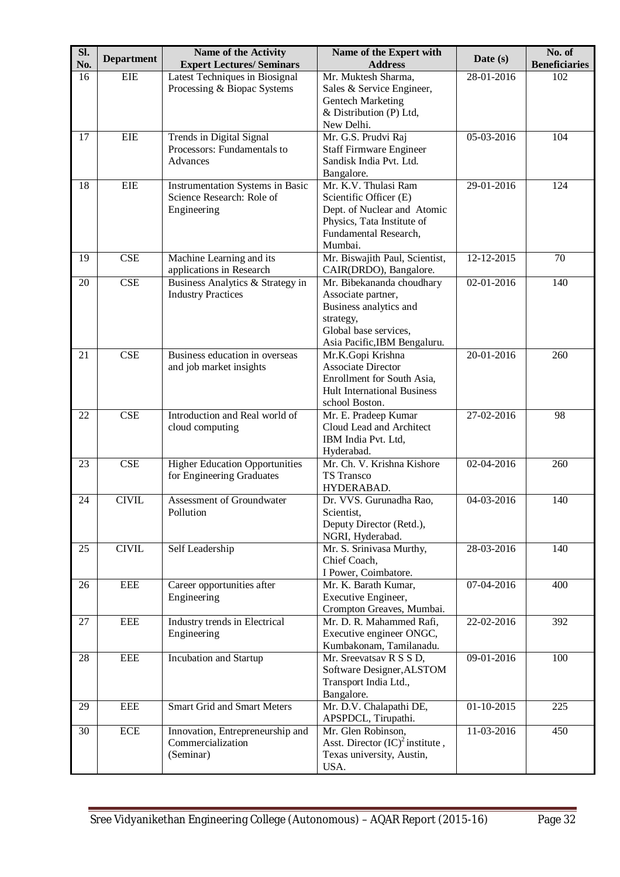| SI.<br>No. | <b>Department</b> | <b>Name of the Activity</b><br><b>Expert Lectures/ Seminars</b>              | Name of the Expert with<br><b>Address</b>                                                                                                       | Date $(s)$   | No. of<br><b>Beneficiaries</b> |
|------------|-------------------|------------------------------------------------------------------------------|-------------------------------------------------------------------------------------------------------------------------------------------------|--------------|--------------------------------|
| 16         | <b>EIE</b>        | Latest Techniques in Biosignal<br>Processing & Biopac Systems                | Mr. Muktesh Sharma,<br>Sales & Service Engineer,<br><b>Gentech Marketing</b><br>& Distribution (P) Ltd,                                         | 28-01-2016   | 102                            |
| 17         | EIE               | Trends in Digital Signal                                                     | New Delhi.<br>Mr. G.S. Prudvi Raj                                                                                                               | 05-03-2016   | 104                            |
|            |                   | Processors: Fundamentals to<br>Advances                                      | <b>Staff Firmware Engineer</b><br>Sandisk India Pvt. Ltd.<br>Bangalore.                                                                         |              |                                |
| 18         | <b>EIE</b>        | Instrumentation Systems in Basic<br>Science Research: Role of<br>Engineering | Mr. K.V. Thulasi Ram<br>Scientific Officer (E)<br>Dept. of Nuclear and Atomic<br>Physics, Tata Institute of<br>Fundamental Research,<br>Mumbai. | 29-01-2016   | 124                            |
| 19         | CSE               | Machine Learning and its<br>applications in Research                         | Mr. Biswajith Paul, Scientist,<br>CAIR(DRDO), Bangalore.                                                                                        | 12-12-2015   | 70                             |
| 20         | <b>CSE</b>        | Business Analytics & Strategy in<br><b>Industry Practices</b>                | Mr. Bibekananda choudhary<br>Associate partner,<br>Business analytics and<br>strategy,<br>Global base services,<br>Asia Pacific, IBM Bengaluru. | 02-01-2016   | 140                            |
| 21         | <b>CSE</b>        | Business education in overseas<br>and job market insights                    | Mr.K.Gopi Krishna<br><b>Associate Director</b><br>Enrollment for South Asia,<br><b>Hult International Business</b><br>school Boston.            | 20-01-2016   | 260                            |
| 22         | <b>CSE</b>        | Introduction and Real world of<br>cloud computing                            | Mr. E. Pradeep Kumar<br>Cloud Lead and Architect<br>IBM India Pvt. Ltd,<br>Hyderabad.                                                           | 27-02-2016   | 98                             |
| 23         | <b>CSE</b>        | <b>Higher Education Opportunities</b><br>for Engineering Graduates           | Mr. Ch. V. Krishna Kishore<br>TS Transco<br>HYDERABAD.                                                                                          | 02-04-2016   | 260                            |
| 24         | <b>CIVIL</b>      | Assessment of Groundwater<br>Pollution                                       | Dr. VVS. Gurunadha Rao,<br>Scientist,<br>Deputy Director (Retd.),<br>NGRI, Hyderabad.                                                           | 04-03-2016   | 140                            |
| 25         | <b>CIVIL</b>      | Self Leadership                                                              | Mr. S. Srinivasa Murthy,<br>Chief Coach,<br>I Power, Coimbatore.                                                                                | 28-03-2016   | 140                            |
| 26         | <b>EEE</b>        | Career opportunities after<br>Engineering                                    | Mr. K. Barath Kumar,<br>Executive Engineer,<br>Crompton Greaves, Mumbai.                                                                        | 07-04-2016   | 400                            |
| 27         | <b>EEE</b>        | Industry trends in Electrical<br>Engineering                                 | Mr. D. R. Mahammed Rafi,<br>Executive engineer ONGC,<br>Kumbakonam, Tamilanadu.                                                                 | 22-02-2016   | 392                            |
| 28         | <b>EEE</b>        | Incubation and Startup                                                       | Mr. Sreevatsav R S S D,<br>Software Designer, ALSTOM<br>Transport India Ltd.,<br>Bangalore.                                                     | 09-01-2016   | 100                            |
| 29         | <b>EEE</b>        | <b>Smart Grid and Smart Meters</b>                                           | Mr. D.V. Chalapathi DE,<br>APSPDCL, Tirupathi.                                                                                                  | $01-10-2015$ | 225                            |
| 30         | ECE               | Innovation, Entrepreneurship and<br>Commercialization<br>(Seminar)           | Mr. Glen Robinson,<br>Asst. Director $(IC)^2$ institute,<br>Texas university, Austin,<br>USA.                                                   | 11-03-2016   | 450                            |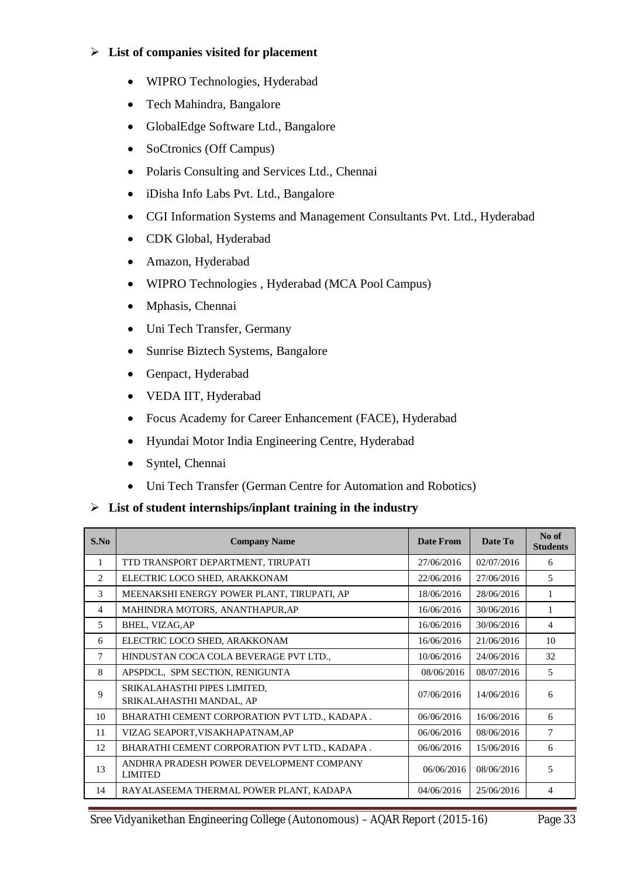#### **List of companies visited for placement**

- WIPRO Technologies, Hyderabad
- Tech Mahindra, Bangalore
- GlobalEdge Software Ltd., Bangalore
- SoCtronics (Off Campus)
- Polaris Consulting and Services Ltd., Chennai
- iDisha Info Labs Pvt. Ltd., Bangalore
- CGI Information Systems and Management Consultants Pvt. Ltd., Hyderabad
- CDK Global, Hyderabad
- Amazon, Hyderabad
- WIPRO Technologies , Hyderabad (MCA Pool Campus)
- Mphasis, Chennai
- Uni Tech Transfer, Germany
- Sunrise Biztech Systems, Bangalore
- Genpact, Hyderabad
- VEDA IIT, Hyderabad
- Focus Academy for Career Enhancement (FACE), Hyderabad
- Hyundai Motor India Engineering Centre, Hyderabad
- Syntel, Chennai
- Uni Tech Transfer (German Centre for Automation and Robotics)

#### **List of student internships/inplant training in the industry**

| S.No           | <b>Company Name</b>                                        | <b>Date From</b> | Date To    | No of<br><b>Students</b> |
|----------------|------------------------------------------------------------|------------------|------------|--------------------------|
| 1              | TTD TRANSPORT DEPARTMENT, TIRUPATI                         | 27/06/2016       | 02/07/2016 | 6                        |
| 2              | ELECTRIC LOCO SHED, ARAKKONAM                              | 22/06/2016       | 27/06/2016 | 5                        |
| 3              | MEENAKSHI ENERGY POWER PLANT, TIRUPATI, AP                 | 18/06/2016       | 28/06/2016 | 1                        |
| $\overline{4}$ | MAHINDRA MOTORS, ANANTHAPUR, AP                            | 16/06/2016       | 30/06/2016 | 1                        |
| 5              | BHEL, VIZAG, AP                                            | 16/06/2016       | 30/06/2016 | 4                        |
| 6              | ELECTRIC LOCO SHED, ARAKKONAM                              | 16/06/2016       | 21/06/2016 | 10                       |
| 7              | HINDUSTAN COCA COLA BEVERAGE PVT LTD.,                     | 10/06/2016       | 24/06/2016 | 32                       |
| 8              | APSPDCL, SPM SECTION, RENIGUNTA                            | 08/06/2016       | 08/07/2016 | 5                        |
| 9              | SRIKALAHASTHI PIPES LIMITED,<br>SRIKALAHASTHI MANDAL, AP   | 07/06/2016       | 14/06/2016 | 6                        |
| 10             | BHARATHI CEMENT CORPORATION PVT LTD., KADAPA.              | 06/06/2016       | 16/06/2016 | 6                        |
| 11             | VIZAG SEAPORT, VISAKHAPATNAM, AP                           | 06/06/2016       | 08/06/2016 | 7                        |
| 12             | BHARATHI CEMENT CORPORATION PVT LTD., KADAPA.              | 06/06/2016       | 15/06/2016 | 6                        |
| 13             | ANDHRA PRADESH POWER DEVELOPMENT COMPANY<br><b>LIMITED</b> | 06/06/2016       | 08/06/2016 | 5                        |
| 14             | RAYALASEEMA THERMAL POWER PLANT, KADAPA                    | 04/06/2016       | 25/06/2016 | 4                        |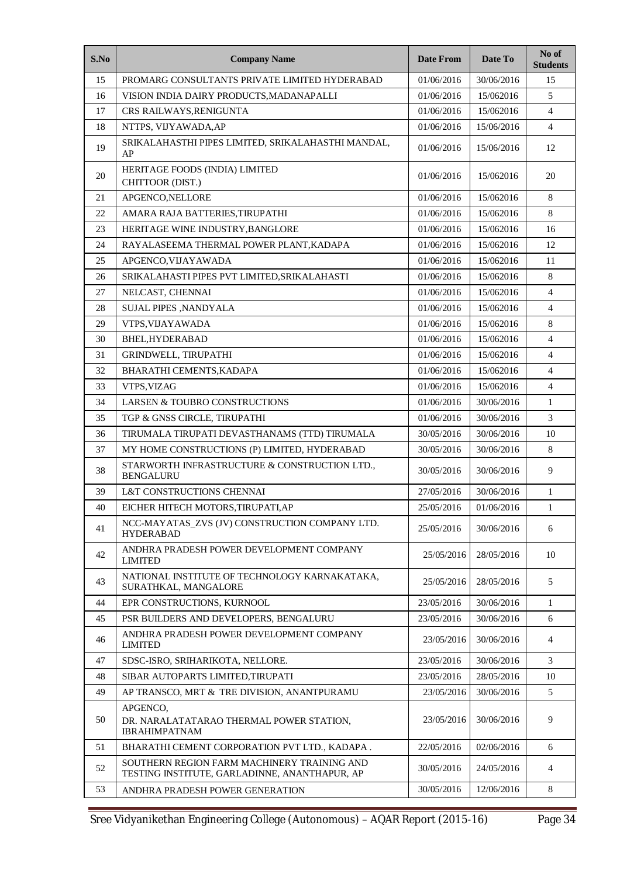| S.No | <b>Company Name</b>                                                                          | <b>Date From</b> | Date To    | No of<br><b>Students</b> |
|------|----------------------------------------------------------------------------------------------|------------------|------------|--------------------------|
| 15   | PROMARG CONSULTANTS PRIVATE LIMITED HYDERABAD                                                | 01/06/2016       | 30/06/2016 | 15                       |
| 16   | VISION INDIA DAIRY PRODUCTS, MADANAPALLI                                                     | 01/06/2016       | 15/062016  | 5                        |
| 17   | CRS RAILWAYS, RENIGUNTA                                                                      | 01/06/2016       | 15/062016  | $\overline{4}$           |
| 18   | NTTPS, VIJYAWADA, AP                                                                         | 01/06/2016       | 15/06/2016 | 4                        |
| 19   | SRIKALAHASTHI PIPES LIMITED, SRIKALAHASTHI MANDAL,<br>AP                                     | 01/06/2016       | 15/06/2016 | 12                       |
| 20   | HERITAGE FOODS (INDIA) LIMITED<br>CHITTOOR (DIST.)                                           | 01/06/2016       | 15/062016  | 20                       |
| 21   | APGENCO, NELLORE                                                                             | 01/06/2016       | 15/062016  | 8                        |
| 22   | AMARA RAJA BATTERIES, TIRUPATHI                                                              | 01/06/2016       | 15/062016  | 8                        |
| 23   | HERITAGE WINE INDUSTRY, BANGLORE                                                             | 01/06/2016       | 15/062016  | 16                       |
| 24   | RAYALASEEMA THERMAL POWER PLANT, KADAPA                                                      | 01/06/2016       | 15/062016  | 12                       |
| 25   | APGENCO.VIJAYAWADA                                                                           | 01/06/2016       | 15/062016  | 11                       |
| 26   | SRIKALAHASTI PIPES PVT LIMITED, SRIKALAHASTI                                                 | 01/06/2016       | 15/062016  | 8                        |
| 27   | NELCAST, CHENNAI                                                                             | 01/06/2016       | 15/062016  | $\overline{4}$           |
| 28   | <b>SUJAL PIPES , NANDYALA</b>                                                                | 01/06/2016       | 15/062016  | $\overline{4}$           |
| 29   | VTPS, VIJAYAWADA                                                                             | 01/06/2016       | 15/062016  | 8                        |
| 30   | BHEL, HYDERABAD                                                                              | 01/06/2016       | 15/062016  | 4                        |
| 31   | GRINDWELL, TIRUPATHI                                                                         | 01/06/2016       | 15/062016  | $\overline{4}$           |
| 32   | BHARATHI CEMENTS, KADAPA                                                                     | 01/06/2016       | 15/062016  | 4                        |
| 33   | VTPS, VIZAG                                                                                  | 01/06/2016       | 15/062016  | $\overline{4}$           |
| 34   | LARSEN & TOUBRO CONSTRUCTIONS                                                                | 01/06/2016       | 30/06/2016 | $\mathbf{1}$             |
| 35   | TGP & GNSS CIRCLE, TIRUPATHI                                                                 | 01/06/2016       | 30/06/2016 | 3                        |
| 36   | TIRUMALA TIRUPATI DEVASTHANAMS (TTD) TIRUMALA                                                | 30/05/2016       | 30/06/2016 | 10                       |
| 37   | MY HOME CONSTRUCTIONS (P) LIMITED, HYDERABAD                                                 | 30/05/2016       | 30/06/2016 | $\,8\,$                  |
| 38   | STARWORTH INFRASTRUCTURE & CONSTRUCTION LTD.,<br><b>BENGALURU</b>                            | 30/05/2016       | 30/06/2016 | 9                        |
| 39   | L&T CONSTRUCTIONS CHENNAI                                                                    | 27/05/2016       | 30/06/2016 | $\mathbf{1}$             |
| 40   | EICHER HITECH MOTORS, TIRUPATI, AP                                                           | 25/05/2016       | 01/06/2016 | $\mathbf{1}$             |
| 41   | NCC-MAYATAS_ZVS (JV) CONSTRUCTION COMPANY LTD.<br><b>HYDERABAD</b>                           | 25/05/2016       | 30/06/2016 | 6                        |
| 42   | ANDHRA PRADESH POWER DEVELOPMENT COMPANY<br><b>LIMITED</b>                                   | 25/05/2016       | 28/05/2016 | 10                       |
| 43   | NATIONAL INSTITUTE OF TECHNOLOGY KARNAKATAKA,<br>SURATHKAL, MANGALORE                        | 25/05/2016       | 28/05/2016 | 5                        |
| 44   | EPR CONSTRUCTIONS, KURNOOL                                                                   | 23/05/2016       | 30/06/2016 | 1                        |
| 45   | PSR BUILDERS AND DEVELOPERS, BENGALURU                                                       | 23/05/2016       | 30/06/2016 | 6                        |
| 46   | ANDHRA PRADESH POWER DEVELOPMENT COMPANY<br><b>LIMITED</b>                                   | 23/05/2016       | 30/06/2016 | 4                        |
| 47   | SDSC-ISRO, SRIHARIKOTA, NELLORE.                                                             | 23/05/2016       | 30/06/2016 | 3                        |
| 48   | SIBAR AUTOPARTS LIMITED, TIRUPATI                                                            | 23/05/2016       | 28/05/2016 | 10                       |
| 49   | AP TRANSCO, MRT & TRE DIVISION, ANANTPURAMU                                                  | 23/05/2016       | 30/06/2016 | 5                        |
| 50   | APGENCO,<br>DR. NARALATATARAO THERMAL POWER STATION,<br><b>IBRAHIMPATNAM</b>                 | 23/05/2016       | 30/06/2016 | 9                        |
| 51   | BHARATHI CEMENT CORPORATION PVT LTD., KADAPA.                                                | 22/05/2016       | 02/06/2016 | 6                        |
| 52   | SOUTHERN REGION FARM MACHINERY TRAINING AND<br>TESTING INSTITUTE, GARLADINNE, ANANTHAPUR, AP | 30/05/2016       | 24/05/2016 | 4                        |
| 53   | ANDHRA PRADESH POWER GENERATION                                                              | 30/05/2016       | 12/06/2016 | 8                        |

Sree Vidyanikethan Engineering College (Autonomous) – AQAR Report (2015-16) Page 34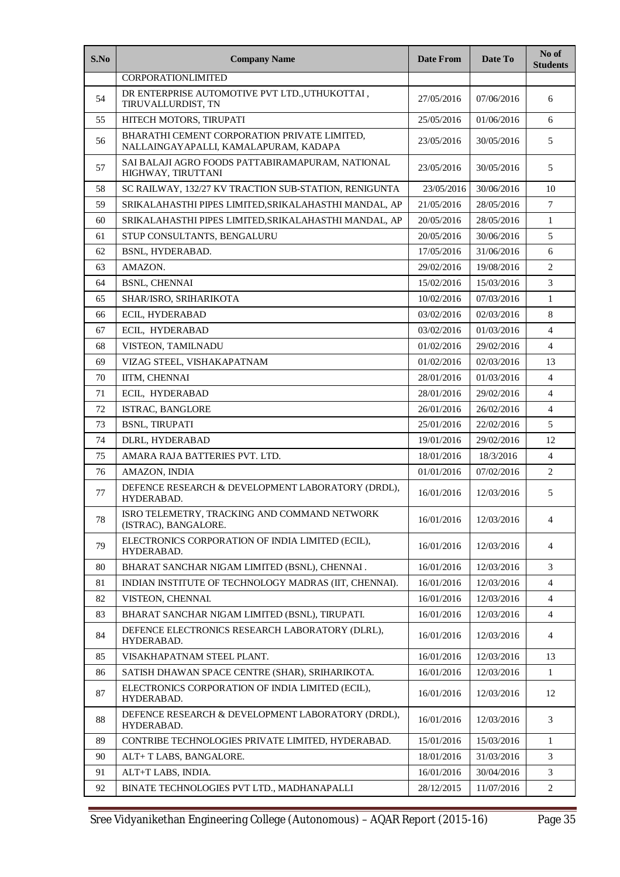| S.No | <b>Company Name</b>                                                                   | <b>Date From</b> | Date To    | No of<br><b>Students</b> |
|------|---------------------------------------------------------------------------------------|------------------|------------|--------------------------|
|      | CORPORATIONLIMITED                                                                    |                  |            |                          |
| 54   | DR ENTERPRISE AUTOMOTIVE PVT LTD., UTHUKOTTAI,<br>TIRUVALLURDIST, TN                  | 27/05/2016       | 07/06/2016 | 6                        |
| 55   | HITECH MOTORS, TIRUPATI                                                               | 25/05/2016       | 01/06/2016 | 6                        |
| 56   | BHARATHI CEMENT CORPORATION PRIVATE LIMITED,<br>NALLAINGAYAPALLI, KAMALAPURAM, KADAPA | 23/05/2016       | 30/05/2016 | 5                        |
| 57   | SAI BALAJI AGRO FOODS PATTABIRAMAPURAM. NATIONAL<br>HIGHWAY, TIRUTTANI                | 23/05/2016       | 30/05/2016 | 5                        |
| 58   | SC RAILWAY, 132/27 KV TRACTION SUB-STATION, RENIGUNTA                                 | 23/05/2016       | 30/06/2016 | 10                       |
| 59   | SRIKALAHASTHI PIPES LIMITED, SRIKALAHASTHI MANDAL, AP                                 | 21/05/2016       | 28/05/2016 | $\tau$                   |
| 60   | SRIKALAHASTHI PIPES LIMITED, SRIKALAHASTHI MANDAL, AP                                 | 20/05/2016       | 28/05/2016 | $\mathbf{1}$             |
| 61   | STUP CONSULTANTS, BENGALURU                                                           | 20/05/2016       | 30/06/2016 | 5                        |
| 62   | <b>BSNL. HYDERABAD.</b>                                                               | 17/05/2016       | 31/06/2016 | 6                        |
| 63   | AMAZON.                                                                               | 29/02/2016       | 19/08/2016 | $\overline{2}$           |
| 64   | <b>BSNL, CHENNAI</b>                                                                  | 15/02/2016       | 15/03/2016 | 3                        |
| 65   | SHAR/ISRO, SRIHARIKOTA                                                                | 10/02/2016       | 07/03/2016 | $\mathbf{1}$             |
| 66   | ECIL, HYDERABAD                                                                       | 03/02/2016       | 02/03/2016 | 8                        |
| 67   | ECIL. HYDERABAD                                                                       | 03/02/2016       | 01/03/2016 | 4                        |
| 68   | VISTEON, TAMILNADU                                                                    | 01/02/2016       | 29/02/2016 | $\overline{4}$           |
| 69   | VIZAG STEEL, VISHAKAPATNAM                                                            | 01/02/2016       | 02/03/2016 | 13                       |
| 70   | IITM, CHENNAI                                                                         | 28/01/2016       | 01/03/2016 | 4                        |
| 71   | ECIL, HYDERABAD                                                                       | 28/01/2016       | 29/02/2016 | 4                        |
| 72   | ISTRAC, BANGLORE                                                                      | 26/01/2016       | 26/02/2016 | 4                        |
| 73   | <b>BSNL, TIRUPATI</b>                                                                 | 25/01/2016       | 22/02/2016 | 5                        |
| 74   | DLRL, HYDERABAD                                                                       | 19/01/2016       | 29/02/2016 | 12                       |
| 75   | AMARA RAJA BATTERIES PVT. LTD.                                                        | 18/01/2016       | 18/3/2016  | $\overline{4}$           |
| 76   | AMAZON, INDIA                                                                         | 01/01/2016       | 07/02/2016 | $\overline{c}$           |
| 77   | DEFENCE RESEARCH & DEVELOPMENT LABORATORY (DRDL),<br>16/01/2016<br>HYDERABAD.         |                  | 12/03/2016 | 5                        |
| 78   | ISRO TELEMETRY, TRACKING AND COMMAND NETWORK<br>(ISTRAC), BANGALORE.                  | 16/01/2016       | 12/03/2016 | 4                        |
| 79   | ELECTRONICS CORPORATION OF INDIA LIMITED (ECIL),<br>HYDERABAD.                        | 16/01/2016       | 12/03/2016 | 4                        |
| 80   | BHARAT SANCHAR NIGAM LIMITED (BSNL), CHENNAI.                                         | 16/01/2016       | 12/03/2016 | 3                        |
| 81   | INDIAN INSTITUTE OF TECHNOLOGY MADRAS (IIT, CHENNAI).                                 | 16/01/2016       | 12/03/2016 | $\overline{4}$           |
| 82   | VISTEON, CHENNAI.                                                                     | 16/01/2016       | 12/03/2016 | 4                        |
| 83   | BHARAT SANCHAR NIGAM LIMITED (BSNL), TIRUPATI.                                        | 16/01/2016       | 12/03/2016 | 4                        |
| 84   | DEFENCE ELECTRONICS RESEARCH LABORATORY (DLRL),<br>HYDERABAD.                         | 16/01/2016       | 12/03/2016 | 4                        |
| 85   | VISAKHAPATNAM STEEL PLANT.                                                            | 16/01/2016       | 12/03/2016 | 13                       |
| 86   | SATISH DHAWAN SPACE CENTRE (SHAR), SRIHARIKOTA.                                       | 16/01/2016       | 12/03/2016 | 1                        |
| 87   | ELECTRONICS CORPORATION OF INDIA LIMITED (ECIL),<br>HYDERABAD.                        | 16/01/2016       | 12/03/2016 | 12                       |
| 88   | DEFENCE RESEARCH & DEVELOPMENT LABORATORY (DRDL),<br>HYDERABAD.                       | 16/01/2016       | 12/03/2016 | 3                        |
| 89   | CONTRIBE TECHNOLOGIES PRIVATE LIMITED, HYDERABAD.                                     | 15/01/2016       | 15/03/2016 | 1                        |
| 90   | ALT+ T LABS, BANGALORE.                                                               | 18/01/2016       | 31/03/2016 | 3                        |
| 91   | ALT+T LABS, INDIA.                                                                    | 16/01/2016       | 30/04/2016 | 3                        |
| 92   | BINATE TECHNOLOGIES PVT LTD., MADHANAPALLI                                            | 28/12/2015       | 11/07/2016 | 2                        |

Sree Vidyanikethan Engineering College (Autonomous) – AQAR Report (2015-16) Page 35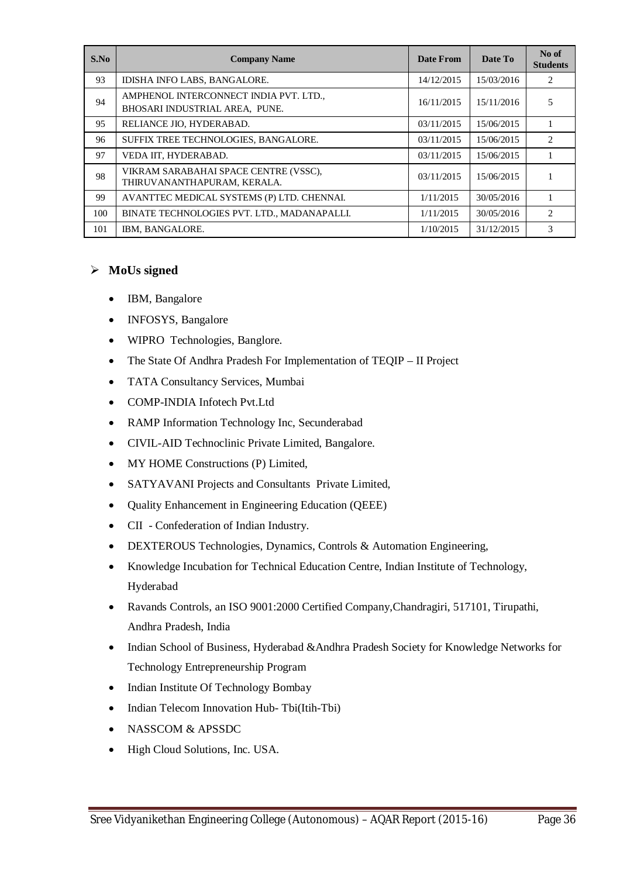| S.No | <b>Company Name</b>                                                      | <b>Date From</b> | Date To    | No of<br><b>Students</b> |
|------|--------------------------------------------------------------------------|------------------|------------|--------------------------|
| 93   | IDISHA INFO LABS, BANGALORE.                                             | 14/12/2015       | 15/03/2016 | 2                        |
| 94   | AMPHENOL INTERCONNECT INDIA PVT. LTD.,<br>BHOSARI INDUSTRIAL AREA, PUNE. | 16/11/2015       | 15/11/2016 | 5                        |
| 95   | RELIANCE JIO, HYDERABAD.                                                 | 03/11/2015       | 15/06/2015 |                          |
| 96   | SUFFIX TREE TECHNOLOGIES, BANGALORE.                                     | 03/11/2015       | 15/06/2015 | 2                        |
| 97   | VEDA IIT. HYDERABAD.                                                     | 03/11/2015       | 15/06/2015 |                          |
| 98   | VIKRAM SARABAHAI SPACE CENTRE (VSSC),<br>THIRUVANANTHAPURAM, KERALA.     | 03/11/2015       | 15/06/2015 |                          |
| 99   | AVANTTEC MEDICAL SYSTEMS (P) LTD. CHENNAI.                               | 1/11/2015        | 30/05/2016 |                          |
| 100  | BINATE TECHNOLOGIES PVT. LTD., MADANAPALLI.                              | 1/11/2015        | 30/05/2016 | $\overline{c}$           |
| 101  | IBM, BANGALORE.                                                          | 1/10/2015        | 31/12/2015 | 3                        |

#### **MoUs signed**

- IBM, Bangalore
- INFOSYS, Bangalore
- WIPRO Technologies, Banglore.
- The State Of Andhra Pradesh For Implementation of TEQIP II Project
- TATA Consultancy Services, Mumbai
- COMP-INDIA Infotech Pvt.Ltd
- RAMP Information Technology Inc, Secunderabad
- CIVIL-AID Technoclinic Private Limited, Bangalore.
- MY HOME Constructions (P) Limited,
- SATYAVANI Projects and Consultants Private Limited,
- Quality Enhancement in Engineering Education (QEEE)
- CII Confederation of Indian Industry.
- DEXTEROUS Technologies, Dynamics, Controls & Automation Engineering,
- Knowledge Incubation for Technical Education Centre, Indian Institute of Technology, Hyderabad
- Ravands Controls, an ISO 9001:2000 Certified Company,Chandragiri, 517101, Tirupathi, Andhra Pradesh, India
- Indian School of Business, Hyderabad &Andhra Pradesh Society for Knowledge Networks for Technology Entrepreneurship Program
- Indian Institute Of Technology Bombay
- Indian Telecom Innovation Hub- Tbi(Itih-Tbi)
- NASSCOM & APSSDC
- High Cloud Solutions, Inc. USA.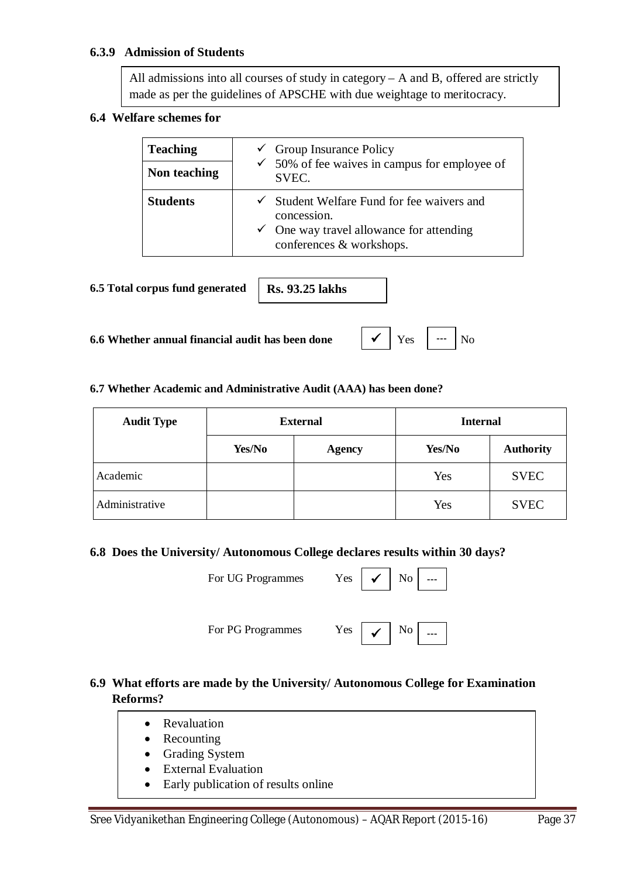#### **6.3.9 Admission of Students**

All admissions into all courses of study in category – A and B, offered are strictly made as per the guidelines of APSCHE with due weightage to meritocracy.

#### **6.4 Welfare schemes for**

| <b>Teaching</b><br>Non teaching | $\checkmark$ Group Insurance Policy<br>$\checkmark$ 50% of fee waives in campus for employee of<br>SVEC.                                                |
|---------------------------------|---------------------------------------------------------------------------------------------------------------------------------------------------------|
| <b>Students</b>                 | $\checkmark$ Student Welfare Fund for fee waivers and<br>concession.<br>$\checkmark$ One way travel allowance for attending<br>conferences & workshops. |

**6.5 Total corpus fund generated**

**Rs. 93.25 lakhs**

**6.6 Whether annual financial audit has been done** Yes No



#### **6.7 Whether Academic and Administrative Audit (AAA) has been done?**

| <b>Audit Type</b> | <b>External</b> |               | <b>Internal</b> |                  |
|-------------------|-----------------|---------------|-----------------|------------------|
|                   | Yes/No          | <b>Agency</b> | Yes/No          | <b>Authority</b> |
| Academic          |                 |               | Yes             | <b>SVEC</b>      |
| Administrative    |                 |               | Yes             | <b>SVEC</b>      |

#### **6.8 Does the University/ Autonomous College declares results within 30 days?**

For UG Programmes Yes



For PG Programmes Yes

# **6.9 What efforts are made by the University/ Autonomous College for Examination Reforms?**

- Revaluation
- Recounting
- Grading System
- External Evaluation
- Early publication of results online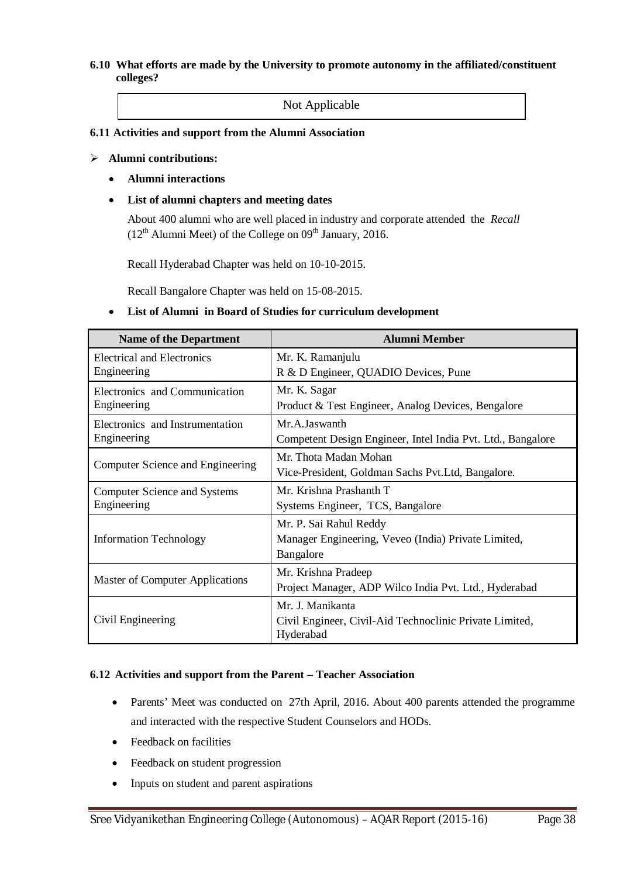#### **6.10 What efforts are made by the University to promote autonomy in the affiliated/constituent colleges?**

Not Applicable

#### **6.11 Activities and support from the Alumni Association**

#### **Alumni contributions:**

- **Alumni interactions**
- **List of alumni chapters and meeting dates**

About 400 alumni who are well placed in industry and corporate attended the *Recall*  $(12<sup>th</sup>$  Alumni Meet) of the College on  $09<sup>th</sup>$  January, 2016.

Recall Hyderabad Chapter was held on 10-10-2015.

Recall Bangalore Chapter was held on 15-08-2015.

#### **List of Alumni in Board of Studies for curriculum development**

| <b>Name of the Department</b>                                                                                     | <b>Alumni Member</b>                                                                       |  |  |
|-------------------------------------------------------------------------------------------------------------------|--------------------------------------------------------------------------------------------|--|--|
| Electrical and Electronics<br>Engineering                                                                         | Mr. K. Ramanjulu<br>R & D Engineer, QUADIO Devices, Pune                                   |  |  |
| Electronics and Communication<br>Engineering                                                                      | Mr. K. Sagar<br>Product & Test Engineer, Analog Devices, Bengalore                         |  |  |
| Electronics and Instrumentation<br>Engineering                                                                    | Mr. A. Jaswanth<br>Competent Design Engineer, Intel India Pvt. Ltd., Bangalore             |  |  |
| Computer Science and Engineering                                                                                  | Mr. Thota Madan Mohan<br>Vice-President, Goldman Sachs Pvt.Ltd, Bangalore.                 |  |  |
| Mr. Krishna Prashanth T<br><b>Computer Science and Systems</b><br>Engineering<br>Systems Engineer, TCS, Bangalore |                                                                                            |  |  |
| <b>Information Technology</b>                                                                                     | Mr. P. Sai Rahul Reddy<br>Manager Engineering, Veveo (India) Private Limited,<br>Bangalore |  |  |
| <b>Master of Computer Applications</b>                                                                            | Mr. Krishna Pradeep<br>Project Manager, ADP Wilco India Pvt. Ltd., Hyderabad               |  |  |
| Civil Engineering                                                                                                 | Mr. J. Manikanta<br>Civil Engineer, Civil-Aid Technoclinic Private Limited,<br>Hyderabad   |  |  |

#### **6.12 Activities and support from the Parent – Teacher Association**

- Parents' Meet was conducted on 27th April, 2016. About 400 parents attended the programme and interacted with the respective Student Counselors and HODs.
- Feedback on facilities
- Feedback on student progression
- Inputs on student and parent aspirations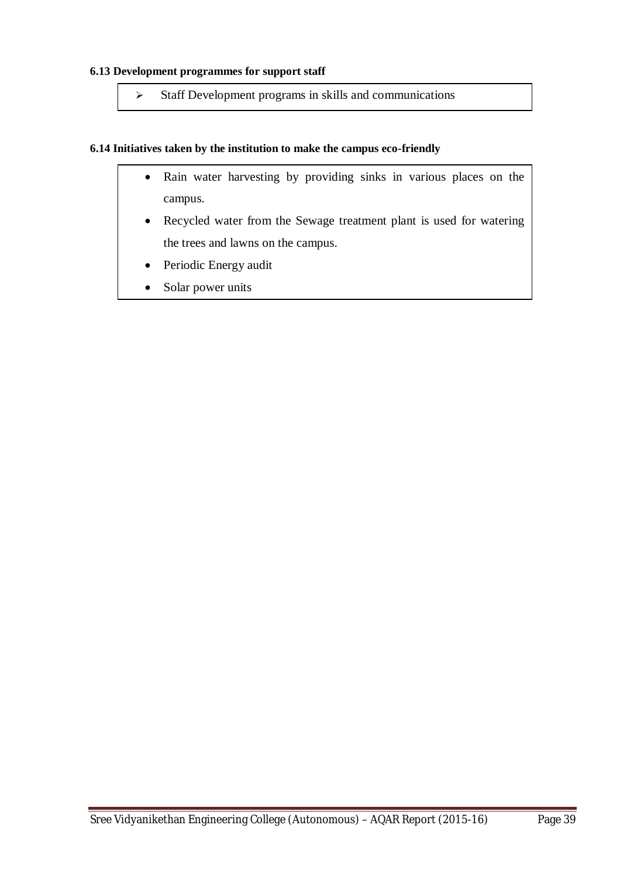#### **6.13 Development programmes for support staff**

 $\triangleright$  Staff Development programs in skills and communications

#### **6.14 Initiatives taken by the institution to make the campus eco-friendly**

- Rain water harvesting by providing sinks in various places on the campus.
- Recycled water from the Sewage treatment plant is used for watering the trees and lawns on the campus.
- Periodic Energy audit
- Solar power units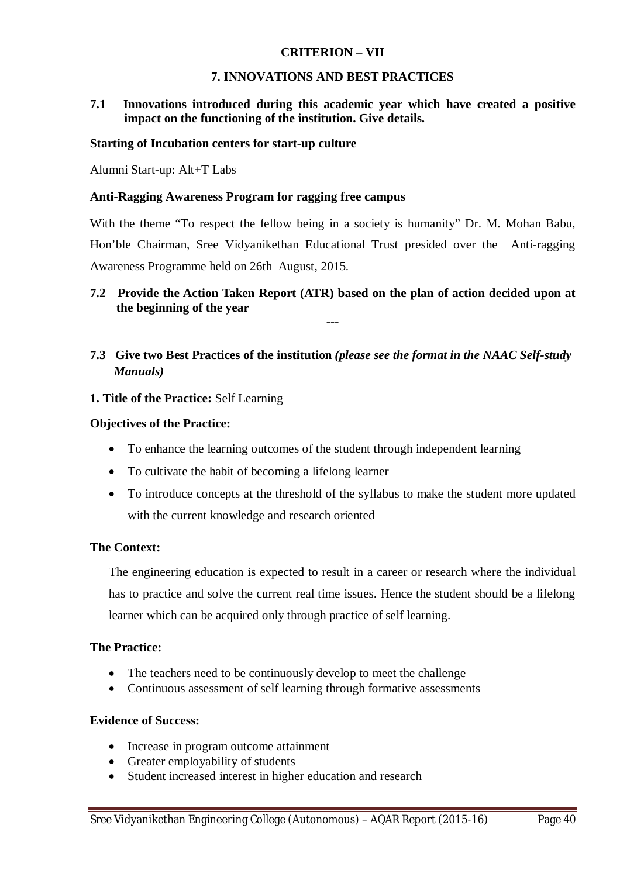#### **CRITERION – VII**

#### **7. INNOVATIONS AND BEST PRACTICES**

#### **7.1 Innovations introduced during this academic year which have created a positive impact on the functioning of the institution. Give details.**

#### **Starting of Incubation centers for start-up culture**

Alumni Start-up: Alt+T Labs

#### **Anti-Ragging Awareness Program for ragging free campus**

With the theme "To respect the fellow being in a society is humanity" Dr. M. Mohan Babu, Hon'ble Chairman, Sree Vidyanikethan Educational Trust presided over the Anti-ragging Awareness Programme held on 26th August, 2015.

#### **7.2 Provide the Action Taken Report (ATR) based on the plan of action decided upon at the beginning of the year**  ---

# **7.3 Give two Best Practices of the institution** *(please see the format in the NAAC Self-study Manuals)*

#### **1. Title of the Practice:** Self Learning

#### **Objectives of the Practice:**

- To enhance the learning outcomes of the student through independent learning
- To cultivate the habit of becoming a lifelong learner
- To introduce concepts at the threshold of the syllabus to make the student more updated with the current knowledge and research oriented

#### **The Context:**

The engineering education is expected to result in a career or research where the individual has to practice and solve the current real time issues. Hence the student should be a lifelong learner which can be acquired only through practice of self learning.

#### **The Practice:**

- The teachers need to be continuously develop to meet the challenge
- Continuous assessment of self learning through formative assessments

#### **Evidence of Success:**

- Increase in program outcome attainment
- Greater employability of students
- Student increased interest in higher education and research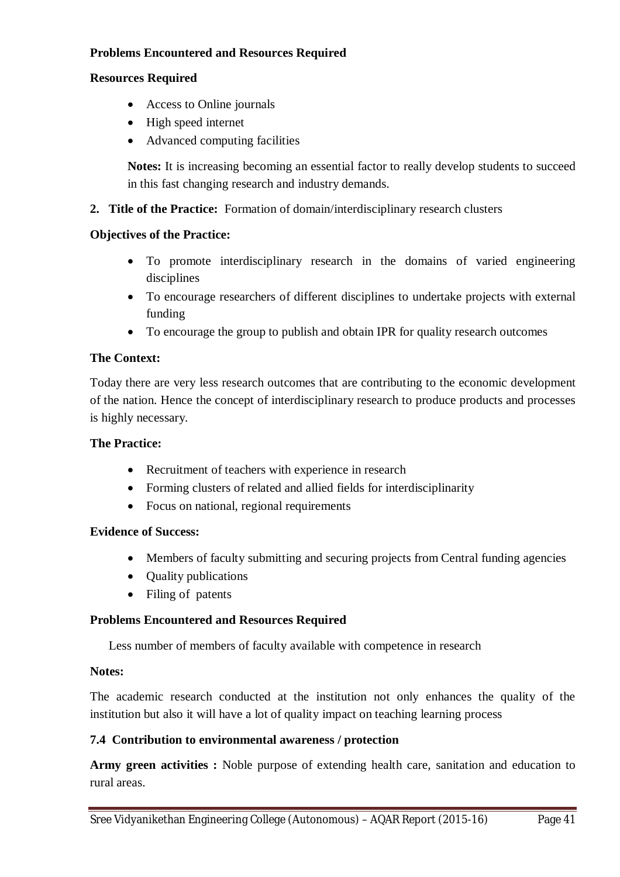### **Problems Encountered and Resources Required**

#### **Resources Required**

- Access to Online journals
- High speed internet
- Advanced computing facilities

**Notes:** It is increasing becoming an essential factor to really develop students to succeed in this fast changing research and industry demands.

**2. Title of the Practice:** Formation of domain/interdisciplinary research clusters

#### **Objectives of the Practice:**

- To promote interdisciplinary research in the domains of varied engineering disciplines
- To encourage researchers of different disciplines to undertake projects with external funding
- To encourage the group to publish and obtain IPR for quality research outcomes

#### **The Context:**

Today there are very less research outcomes that are contributing to the economic development of the nation. Hence the concept of interdisciplinary research to produce products and processes is highly necessary.

#### **The Practice:**

- Recruitment of teachers with experience in research
- Forming clusters of related and allied fields for interdisciplinarity
- Focus on national, regional requirements

#### **Evidence of Success:**

- Members of faculty submitting and securing projects from Central funding agencies
- Quality publications
- Filing of patents

#### **Problems Encountered and Resources Required**

Less number of members of faculty available with competence in research

#### **Notes:**

The academic research conducted at the institution not only enhances the quality of the institution but also it will have a lot of quality impact on teaching learning process

#### **7.4 Contribution to environmental awareness / protection**

**Army green activities :** Noble purpose of extending health care, sanitation and education to rural areas.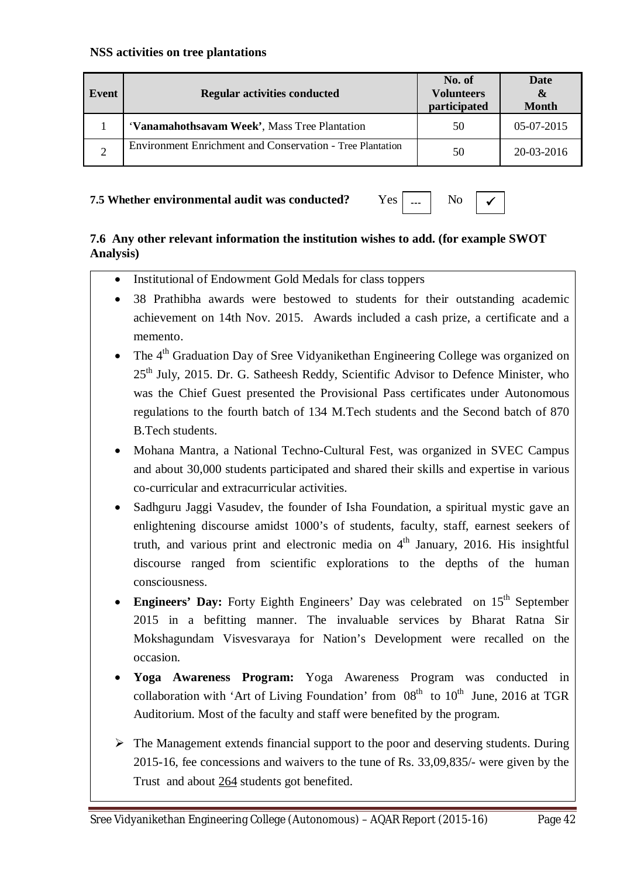| Event | <b>Regular activities conducted</b>                              | No. of<br><b>Volunteers</b><br>participated | Date<br>$\boldsymbol{\alpha}$<br><b>Month</b> |
|-------|------------------------------------------------------------------|---------------------------------------------|-----------------------------------------------|
|       | 'Vanamahothsavam Week', Mass Tree Plantation                     | 50                                          | $05-07-2015$                                  |
|       | <b>Environment Enrichment and Conservation - Tree Plantation</b> | 50                                          | $20-03-2016$                                  |

#### **7.5 Whether environmental audit was conducted?** Yes



# **7.6 Any other relevant information the institution wishes to add. (for example SWOT Analysis)**

- Institutional of Endowment Gold Medals for class toppers
- 38 Prathibha awards were bestowed to students for their outstanding academic achievement on 14th Nov. 2015. Awards included a cash prize, a certificate and a memento.
- The 4<sup>th</sup> Graduation Day of Sree Vidyanikethan Engineering College was organized on  $25<sup>th</sup>$  July, 2015. Dr. G. Satheesh Reddy, Scientific Advisor to Defence Minister, who was the Chief Guest presented the Provisional Pass certificates under Autonomous regulations to the fourth batch of 134 M.Tech students and the Second batch of 870 B.Tech students.
- Mohana Mantra, a National Techno-Cultural Fest, was organized in SVEC Campus and about 30,000 students participated and shared their skills and expertise in various co-curricular and extracurricular activities.
- Sadhguru Jaggi Vasudev, the founder of Isha Foundation, a spiritual mystic gave an enlightening discourse amidst 1000's of students, faculty, staff, earnest seekers of truth, and various print and electronic media on  $4<sup>th</sup>$  January, 2016. His insightful discourse ranged from scientific explorations to the depths of the human consciousness.
- Engineers' Day: Forty Eighth Engineers' Day was celebrated on 15<sup>th</sup> September 2015 in a befitting manner. The invaluable services by Bharat Ratna Sir Mokshagundam Visvesvaraya for Nation's Development were recalled on the occasion.
- **Yoga Awareness Program:** Yoga Awareness Program was conducted in collaboration with 'Art of Living Foundation' from  $08<sup>th</sup>$  to  $10<sup>th</sup>$  June, 2016 at TGR Auditorium. Most of the faculty and staff were benefited by the program.
- $\triangleright$  The Management extends financial support to the poor and deserving students. During 2015-16, fee concessions and waivers to the tune of Rs. 33,09,835/- were given by the Trust and about 264 students got benefited.